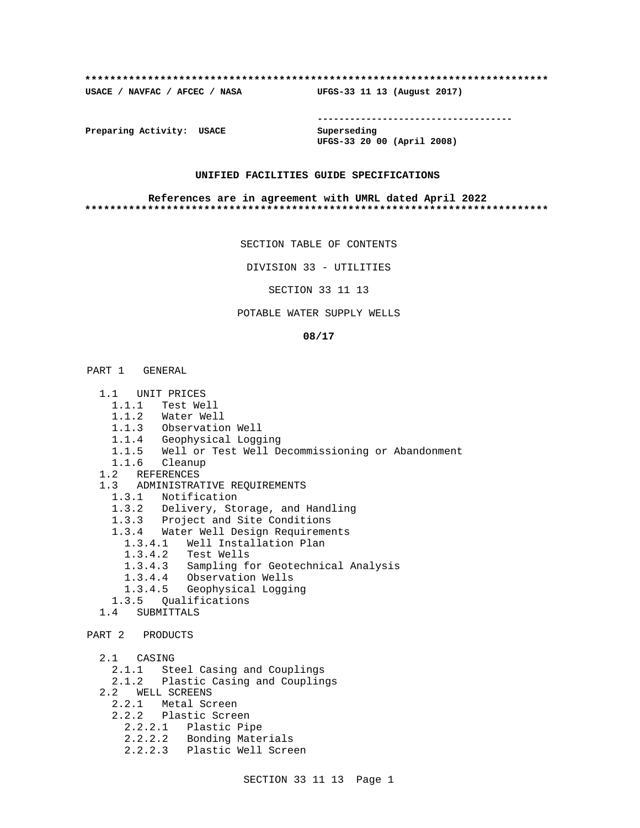### **\*\*\*\*\*\*\*\*\*\*\*\*\*\*\*\*\*\*\*\*\*\*\*\*\*\*\*\*\*\*\*\*\*\*\*\*\*\*\*\*\*\*\*\*\*\*\*\*\*\*\*\*\*\*\*\*\*\*\*\*\*\*\*\*\*\*\*\*\*\*\*\*\*\***

**USACE / NAVFAC / AFCEC / NASA UFGS-33 11 13 (August 2017)**

**------------------------------------**

**Preparing Activity: USACE Superseding**

**UFGS-33 20 00 (April 2008)**

## **UNIFIED FACILITIES GUIDE SPECIFICATIONS**

### **References are in agreement with UMRL dated April 2022 \*\*\*\*\*\*\*\*\*\*\*\*\*\*\*\*\*\*\*\*\*\*\*\*\*\*\*\*\*\*\*\*\*\*\*\*\*\*\*\*\*\*\*\*\*\*\*\*\*\*\*\*\*\*\*\*\*\*\*\*\*\*\*\*\*\*\*\*\*\*\*\*\*\***

SECTION TABLE OF CONTENTS

DIVISION 33 - UTILITIES

SECTION 33 11 13

## POTABLE WATER SUPPLY WELLS

### **08/17**

# PART 1 GENERAL

- 1.1 UNIT PRICES
	- 1.1.1 Test Well
	- 1.1.2 Water Well
	- 1.1.3 Observation Well
	- 1.1.4 Geophysical Logging
	- 1.1.5 Well or Test Well Decommissioning or Abandonment
- 1.1.6 Cleanup
- 1.2 REFERENCES
- 1.3 ADMINISTRATIVE REQUIREMENTS
	- 1.3.1 Notification
	- 1.3.2 Delivery, Storage, and Handling
	- 1.3.3 Project and Site Conditions
	- 1.3.4 Water Well Design Requirements
		- 1.3.4.1 Well Installation Plan
		- 1.3.4.2 Test Wells
		- 1.3.4.3 Sampling for Geotechnical Analysis
		- 1.3.4.4 Observation Wells
		- 1.3.4.5 Geophysical Logging
	- 1.3.5 Qualifications
- 1.4 SUBMITTALS

```
PART 2 PRODUCTS
```
- 2.1 CASING
	- 2.1.1 Steel Casing and Couplings
	- 2.1.2 Plastic Casing and Couplings
- 2.2 WELL SCREENS
- 2.2.1 Metal Screen
- 2.2.2 Plastic Screen
	- 2.2.2.1 Plastic Pipe
	- 2.2.2.2 Bonding Materials
	- 2.2.2.3 Plastic Well Screen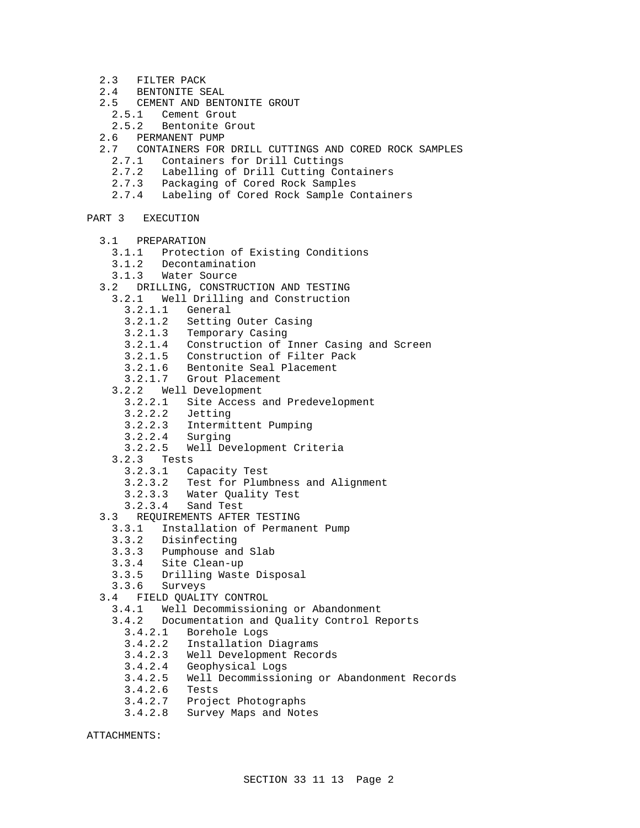- 2.3 FILTER PACK
- 2.4 BENTONITE SEAL
- 2.5 CEMENT AND BENTONITE GROUT
- 2.5.1 Cement Grout
	- 2.5.2 Bentonite Grout
- 2.6 PERMANENT PUMP
- 2.7 CONTAINERS FOR DRILL CUTTINGS AND CORED ROCK SAMPLES
	- 2.7.1 Containers for Drill Cuttings
	- 2.7.2 Labelling of Drill Cutting Containers
	- 2.7.3 Packaging of Cored Rock Samples
	- 2.7.4 Labeling of Cored Rock Sample Containers
- PART 3 EXECUTION
	- 3.1 PREPARATION
		- 3.1.1 Protection of Existing Conditions
		- 3.1.2 Decontamination
		- 3.1.3 Water Source
	- 3.2 DRILLING, CONSTRUCTION AND TESTING
		- 3.2.1 Well Drilling and Construction
			- 3.2.1.1 General
			- 3.2.1.2 Setting Outer Casing
			- 3.2.1.3 Temporary Casing
			- 3.2.1.4 Construction of Inner Casing and Screen
			- 3.2.1.5 Construction of Filter Pack
			- 3.2.1.6 Bentonite Seal Placement
			- 3.2.1.7 Grout Placement
		- 3.2.2 Well Development
			- 3.2.2.1 Site Access and Predevelopment
- 3.2.2.2 Jetting
- 3.2.2.3 Intermittent Pumping
	- 3.2.2.4 Surging
	- 3.2.2.5 Well Development Criteria
	- 3.2.3 Tests
		- 3.2.3.1 Capacity Test
		- 3.2.3.2 Test for Plumbness and Alignment
		- 3.2.3.3 Water Quality Test
		- 3.2.3.4 Sand Test
	- 3.3 REQUIREMENTS AFTER TESTING
	- 3.3.1 Installation of Permanent Pump
		- 3.3.2 Disinfecting
		- 3.3.3 Pumphouse and Slab
		- 3.3.4 Site Clean-up
		- 3.3.5 Drilling Waste Disposal
	- 3.3.6 Surveys
	- 3.4 FIELD QUALITY CONTROL
		- 3.4.1 Well Decommissioning or Abandonment
		- 3.4.2 Documentation and Quality Control Reports
			- 3.4.2.1 Borehole Logs
			- 3.4.2.2 Installation Diagrams
			- 3.4.2.3 Well Development Records
			- 3.4.2.4 Geophysical Logs
			- 3.4.2.5 Well Decommissioning or Abandonment Records
			- 3.4.2.6 Tests
			- 3.4.2.7 Project Photographs
			- 3.4.2.8 Survey Maps and Notes

ATTACHMENTS: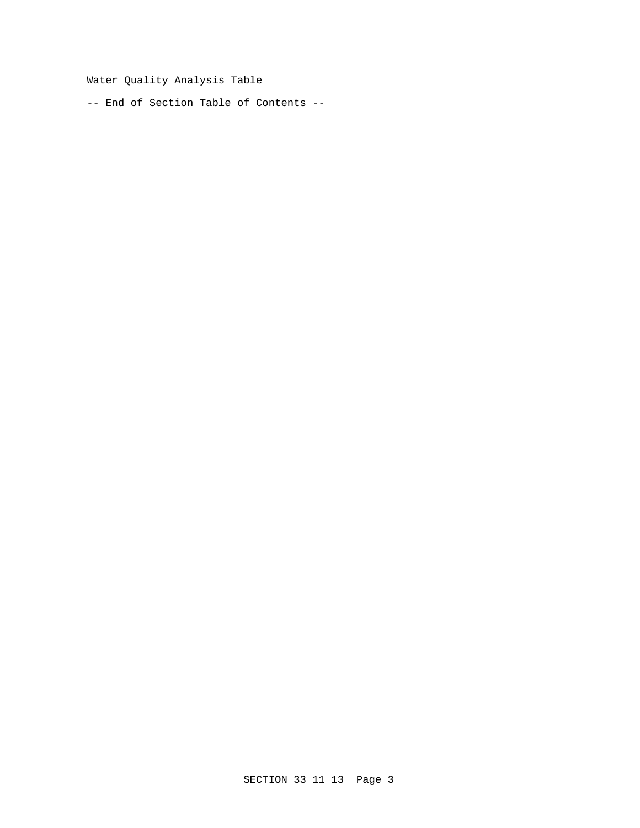Water Quality Analysis Table

-- End of Section Table of Contents --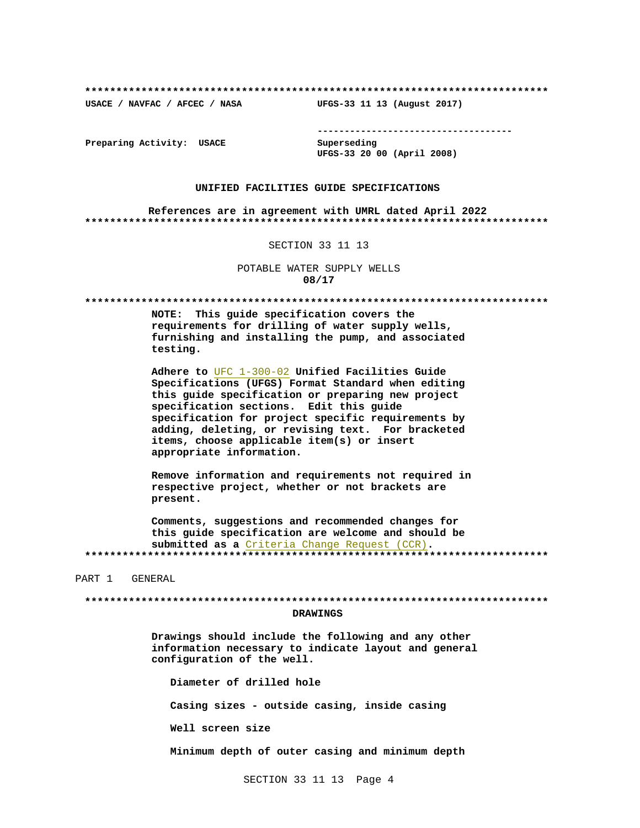USACE / NAVFAC / AFCEC / NASA

--------------------------------------

Preparing Activity: USACE

Superseding UFGS-33 20 00 (April 2008)

UFGS-33 11 13 (August 2017)

## UNIFIED FACILITIES GUIDE SPECIFICATIONS

References are in agreement with UMRL dated April 2022 

### SECTION 33 11 13

POTABLE WATER SUPPLY WELLS 08/17

NOTE: This guide specification covers the requirements for drilling of water supply wells, furnishing and installing the pump, and associated testing.

Adhere to UFC 1-300-02 Unified Facilities Guide Specifications (UFGS) Format Standard when editing this guide specification or preparing new project specification sections. Edit this guide specification for project specific requirements by adding, deleting, or revising text. For bracketed items, choose applicable item(s) or insert appropriate information.

Remove information and requirements not required in respective project, whether or not brackets are present.

Comments, suggestions and recommended changes for this guide specification are welcome and should be submitted as a Criteria Change Request (CCR). 

PART 1 GENERAL

### **DRAWINGS**

Drawings should include the following and any other information necessary to indicate layout and general configuration of the well.

Diameter of drilled hole Casing sizes - outside casing, inside casing Well screen size Minimum depth of outer casing and minimum depth

SECTION 33 11 13 Page 4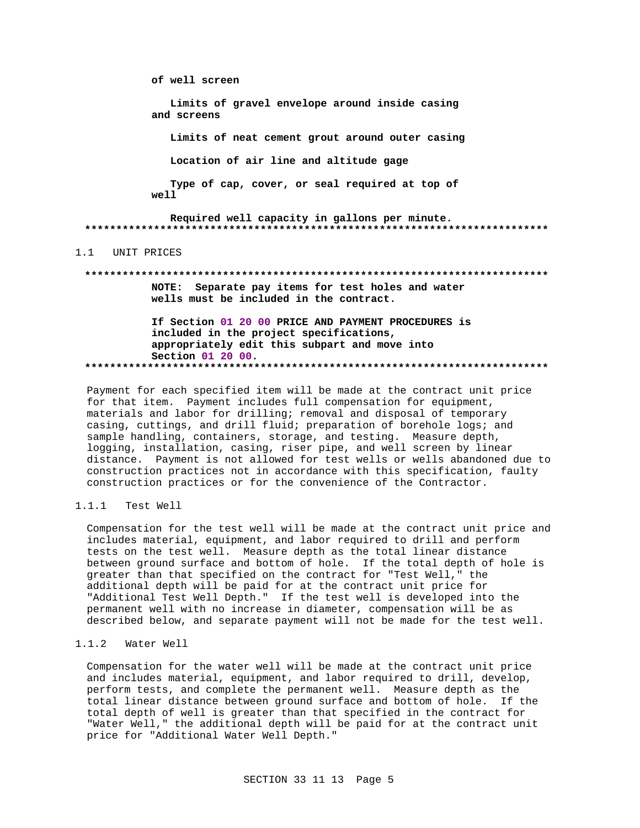of well screen Limits of gravel envelope around inside casing and screens Limits of neat cement grout around outer casing Location of air line and altitude gage Type of cap, cover, or seal required at top of well Required well capacity in gallons per minute. 1.1 UNIT PRICES NOTE: Separate pay items for test holes and water wells must be included in the contract. If Section 01 20 00 PRICE AND PAYMENT PROCEDURES is included in the project specifications, appropriately edit this subpart and move into Section 01 20 00.

Payment for each specified item will be made at the contract unit price for that item. Payment includes full compensation for equipment, materials and labor for drilling; removal and disposal of temporary casing, cuttings, and drill fluid; preparation of borehole logs; and sample handling, containers, storage, and testing. Measure depth, logging, installation, casing, riser pipe, and well screen by linear distance. Payment is not allowed for test wells or wells abandoned due to construction practices not in accordance with this specification, faulty construction practices or for the convenience of the Contractor.

#### $1.1.1$ Test Well

Compensation for the test well will be made at the contract unit price and includes material, equipment, and labor required to drill and perform tests on the test well. Measure depth as the total linear distance between ground surface and bottom of hole. If the total depth of hole is greater than that specified on the contract for "Test Well," the additional depth will be paid for at the contract unit price for "Additional Test Well Depth." If the test well is developed into the permanent well with no increase in diameter, compensation will be as described below, and separate payment will not be made for the test well.

# 1.1.2 Water Well

Compensation for the water well will be made at the contract unit price and includes material, equipment, and labor required to drill, develop, perform tests, and complete the permanent well. Measure depth as the total linear distance between ground surface and bottom of hole. If the total depth of well is greater than that specified in the contract for "Water Well," the additional depth will be paid for at the contract unit price for "Additional Water Well Depth."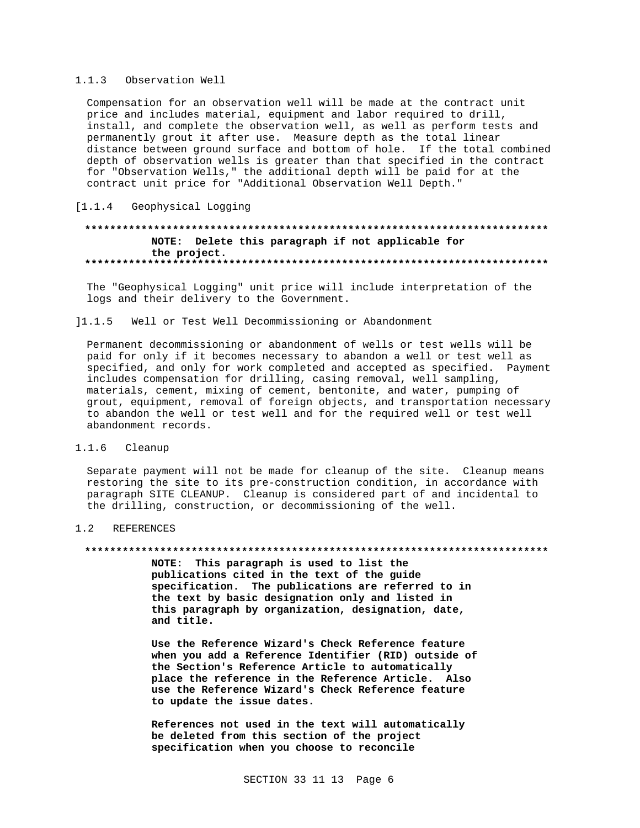#### $1.1.3$ Observation Well

Compensation for an observation well will be made at the contract unit price and includes material, equipment and labor required to drill, install, and complete the observation well, as well as perform tests and permanently grout it after use. Measure depth as the total linear distance between ground surface and bottom of hole. If the total combined depth of observation wells is greater than that specified in the contract for "Observation Wells," the additional depth will be paid for at the contract unit price for "Additional Observation Well Depth."

# [1.1.4 Geophysical Logging

# NOTE: Delete this paragraph if not applicable for the project.

The "Geophysical Logging" unit price will include interpretation of the logs and their delivery to the Government.

#### $11.1.5$ Well or Test Well Decommissioning or Abandonment

Permanent decommissioning or abandonment of wells or test wells will be paid for only if it becomes necessary to abandon a well or test well as specified, and only for work completed and accepted as specified. Payment includes compensation for drilling, casing removal, well sampling, materials, cement, mixing of cement, bentonite, and water, pumping of grout, equipment, removal of foreign objects, and transportation necessary to abandon the well or test well and for the required well or test well abandonment records.

#### $1.1.6$ Cleanup

Separate payment will not be made for cleanup of the site. Cleanup means restoring the site to its pre-construction condition, in accordance with paragraph SITE CLEANUP. Cleanup is considered part of and incidental to the drilling, construction, or decommissioning of the well.

#### $1.2$ **REFERENCES**

### 

NOTE: This paragraph is used to list the publications cited in the text of the guide specification. The publications are referred to in the text by basic designation only and listed in this paragraph by organization, designation, date, and title.

Use the Reference Wizard's Check Reference feature when you add a Reference Identifier (RID) outside of the Section's Reference Article to automatically place the reference in the Reference Article. Also use the Reference Wizard's Check Reference feature to update the issue dates.

References not used in the text will automatically be deleted from this section of the project specification when you choose to reconcile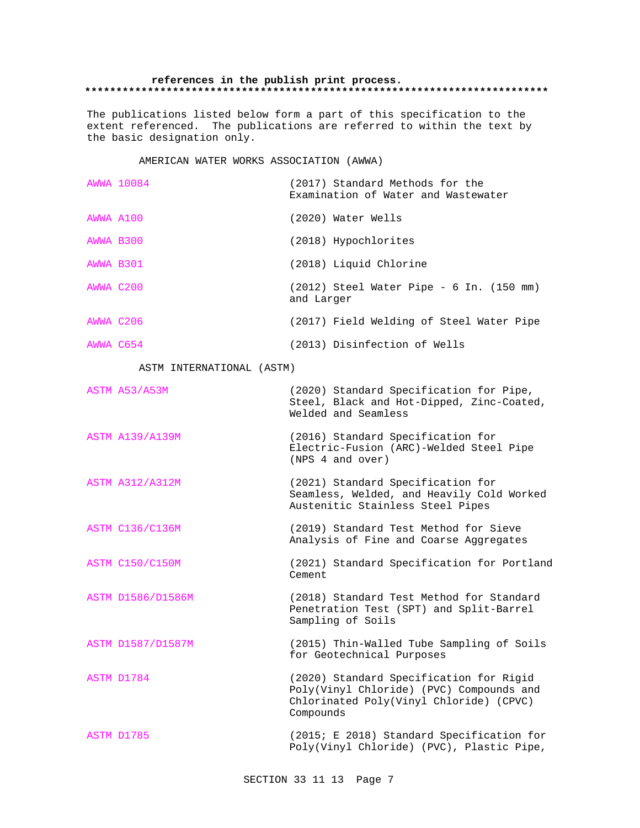## **references in the publish print process. \*\*\*\*\*\*\*\*\*\*\*\*\*\*\*\*\*\*\*\*\*\*\*\*\*\*\*\*\*\*\*\*\*\*\*\*\*\*\*\*\*\*\*\*\*\*\*\*\*\*\*\*\*\*\*\*\*\*\*\*\*\*\*\*\*\*\*\*\*\*\*\*\*\***

The publications listed below form a part of this specification to the extent referenced. The publications are referred to within the text by the basic designation only.

# AMERICAN WATER WORKS ASSOCIATION (AWWA)

|           | AWWA 10084                | (2017) Standard Methods for the<br>Examination of Water and Wastewater                                                                      |
|-----------|---------------------------|---------------------------------------------------------------------------------------------------------------------------------------------|
| AWWA A100 |                           | (2020) Water Wells                                                                                                                          |
| AWWA B300 |                           | (2018) Hypochlorites                                                                                                                        |
| AWWA B301 |                           | (2018) Liquid Chlorine                                                                                                                      |
| AWWA C200 |                           | (2012) Steel Water Pipe - 6 In. (150 mm)<br>and Larger                                                                                      |
| AWWA C206 |                           | (2017) Field Welding of Steel Water Pipe                                                                                                    |
| AWWA C654 |                           | (2013) Disinfection of Wells                                                                                                                |
|           | ASTM INTERNATIONAL (ASTM) |                                                                                                                                             |
|           | ASTM A53/A53M             | (2020) Standard Specification for Pipe,<br>Steel, Black and Hot-Dipped, Zinc-Coated,<br>Welded and Seamless                                 |
|           | <b>ASTM A139/A139M</b>    | (2016) Standard Specification for<br>Electric-Fusion (ARC)-Welded Steel Pipe<br>(NPS 4 and over)                                            |
|           | <b>ASTM A312/A312M</b>    | (2021) Standard Specification for<br>Seamless, Welded, and Heavily Cold Worked<br>Austenitic Stainless Steel Pipes                          |
|           | <b>ASTM C136/C136M</b>    | (2019) Standard Test Method for Sieve<br>Analysis of Fine and Coarse Aggregates                                                             |
|           | <b>ASTM C150/C150M</b>    | (2021) Standard Specification for Portland<br>Cement                                                                                        |
|           | ASTM D1586/D1586M         | (2018) Standard Test Method for Standard<br>Penetration Test (SPT) and Split-Barrel<br>Sampling of Soils                                    |
|           | ASTM D1587/D1587M         | (2015) Thin-Walled Tube Sampling of Soils<br>for Geotechnical Purposes                                                                      |
|           | ASTM D1784                | (2020) Standard Specification for Rigid<br>Poly(Vinyl Chloride) (PVC) Compounds and<br>Chlorinated Poly(Vinyl Chloride) (CPVC)<br>Compounds |
|           | ASTM D1785                | (2015; E 2018) Standard Specification for<br>Poly(Vinyl Chloride) (PVC), Plastic Pipe,                                                      |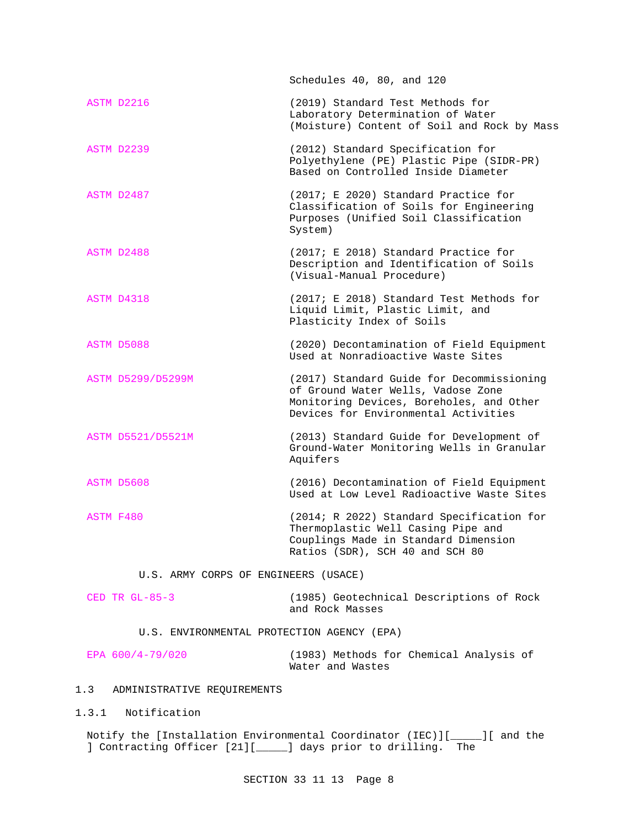|                                            | Schedules 40, 80, and 120                                                                                                                                           |  |  |  |
|--------------------------------------------|---------------------------------------------------------------------------------------------------------------------------------------------------------------------|--|--|--|
| ASTM D2216                                 | (2019) Standard Test Methods for<br>Laboratory Determination of Water<br>(Moisture) Content of Soil and Rock by Mass                                                |  |  |  |
| ASTM D2239                                 | (2012) Standard Specification for<br>Polyethylene (PE) Plastic Pipe (SIDR-PR)<br>Based on Controlled Inside Diameter                                                |  |  |  |
| ASTM D2487                                 | (2017; E 2020) Standard Practice for<br>Classification of Soils for Engineering<br>Purposes (Unified Soil Classification<br>System)                                 |  |  |  |
| ASTM D2488                                 | (2017; E 2018) Standard Practice for<br>Description and Identification of Soils<br>(Visual-Manual Procedure)                                                        |  |  |  |
| ASTM D4318                                 | (2017; E 2018) Standard Test Methods for<br>Liquid Limit, Plastic Limit, and<br>Plasticity Index of Soils                                                           |  |  |  |
| ASTM D5088                                 | (2020) Decontamination of Field Equipment<br>Used at Nonradioactive Waste Sites                                                                                     |  |  |  |
| ASTM D5299/D5299M                          | (2017) Standard Guide for Decommissioning<br>of Ground Water Wells, Vadose Zone<br>Monitoring Devices, Boreholes, and Other<br>Devices for Environmental Activities |  |  |  |
| ASTM D5521/D5521M                          | (2013) Standard Guide for Development of<br>Ground-Water Monitoring Wells in Granular<br>Aquifers                                                                   |  |  |  |
| ASTM D5608                                 | (2016) Decontamination of Field Equipment<br>Used at Low Level Radioactive Waste Sites                                                                              |  |  |  |
| ASTM F480                                  | (2014; R 2022) Standard Specification for<br>Thermoplastic Well Casing Pipe and<br>Couplings Made in Standard Dimension<br>Ratios (SDR), SCH 40 and SCH 80          |  |  |  |
| U.S. ARMY CORPS OF ENGINEERS (USACE)       |                                                                                                                                                                     |  |  |  |
| CED TR $GL-85-3$                           | (1985) Geotechnical Descriptions of Rock<br>and Rock Masses                                                                                                         |  |  |  |
| U.S. ENVIRONMENTAL PROTECTION AGENCY (EPA) |                                                                                                                                                                     |  |  |  |

EPA 600/4-79/020 (1983) Methods for Chemical Analysis of Water and Wastes

# 1.3 ADMINISTRATIVE REQUIREMENTS

1.3.1 Notification

Notify the [Installation Environmental Coordinator (IEC)][\_\_\_\_\_][ and the ] Contracting Officer [21][\_\_\_\_\_] days prior to drilling. The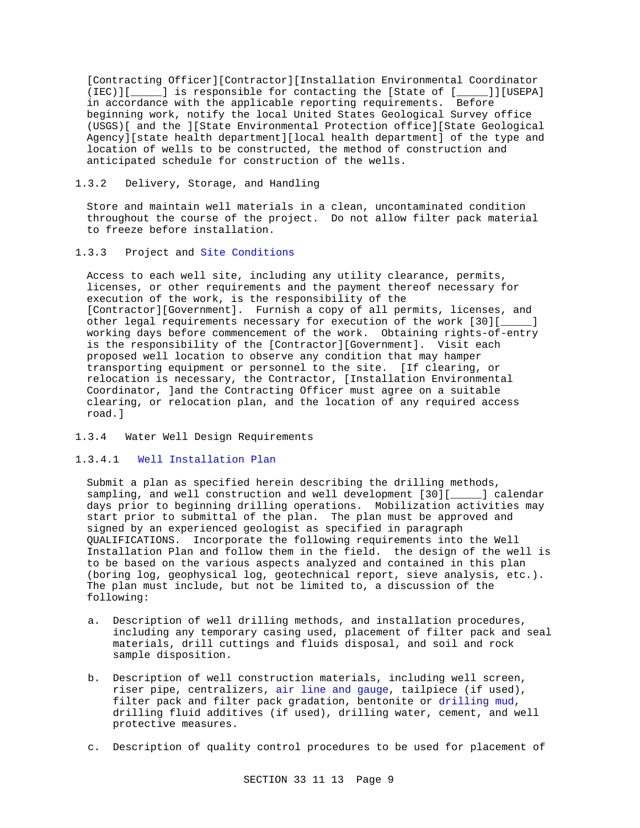[Contracting Officer][Contractor][Installation Environmental Coordinator (IEC)][\_\_\_\_\_] is responsible for contacting the [State of [\_\_\_\_\_]][USEPA] in accordance with the applicable reporting requirements. Before beginning work, notify the local United States Geological Survey office (USGS)[ and the ][State Environmental Protection office][State Geological Agency][state health department][local health department] of the type and location of wells to be constructed, the method of construction and anticipated schedule for construction of the wells.

# 1.3.2 Delivery, Storage, and Handling

Store and maintain well materials in a clean, uncontaminated condition throughout the course of the project. Do not allow filter pack material to freeze before installation.

# 1.3.3 Project and Site Conditions

Access to each well site, including any utility clearance, permits, licenses, or other requirements and the payment thereof necessary for execution of the work, is the responsibility of the [Contractor][Government]. Furnish a copy of all permits, licenses, and other legal requirements necessary for execution of the work [30][\_\_\_\_] working days before commencement of the work. Obtaining rights-of-entry is the responsibility of the [Contractor][Government]. Visit each proposed well location to observe any condition that may hamper transporting equipment or personnel to the site. [If clearing, or relocation is necessary, the Contractor, [Installation Environmental Coordinator, ]and the Contracting Officer must agree on a suitable clearing, or relocation plan, and the location of any required access road.]

## 1.3.4 Water Well Design Requirements

# 1.3.4.1 Well Installation Plan

Submit a plan as specified herein describing the drilling methods, sampling, and well construction and well development [30][\_\_\_\_\_] calendar days prior to beginning drilling operations. Mobilization activities may start prior to submittal of the plan. The plan must be approved and signed by an experienced geologist as specified in paragraph QUALIFICATIONS. Incorporate the following requirements into the Well Installation Plan and follow them in the field. the design of the well is to be based on the various aspects analyzed and contained in this plan (boring log, geophysical log, geotechnical report, sieve analysis, etc.). The plan must include, but not be limited to, a discussion of the following:

- a. Description of well drilling methods, and installation procedures, including any temporary casing used, placement of filter pack and seal materials, drill cuttings and fluids disposal, and soil and rock sample disposition.
- b. Description of well construction materials, including well screen, riser pipe, centralizers, air line and gauge, tailpiece (if used), filter pack and filter pack gradation, bentonite or drilling mud, drilling fluid additives (if used), drilling water, cement, and well protective measures.
- c. Description of quality control procedures to be used for placement of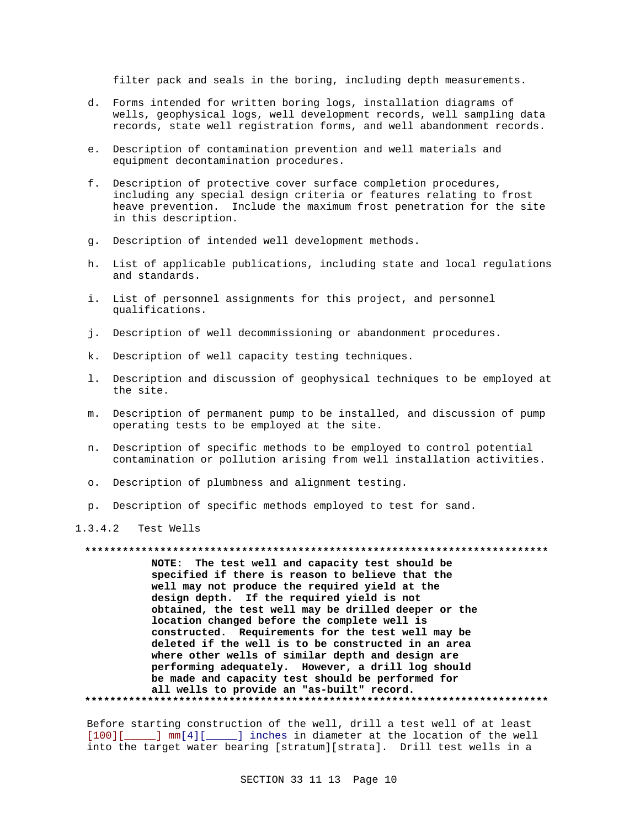filter pack and seals in the boring, including depth measurements.

- d. Forms intended for written boring logs, installation diagrams of wells, geophysical logs, well development records, well sampling data records, state well registration forms, and well abandonment records.
- e. Description of contamination prevention and well materials and equipment decontamination procedures.
- f. Description of protective cover surface completion procedures, including any special design criteria or features relating to frost heave prevention. Include the maximum frost penetration for the site in this description.
- g. Description of intended well development methods.
- h. List of applicable publications, including state and local regulations and standards.
- i. List of personnel assignments for this project, and personnel qualifications.
- j. Description of well decommissioning or abandonment procedures.
- k. Description of well capacity testing techniques.
- 1. Description and discussion of geophysical techniques to be employed at the site.
- m. Description of permanent pump to be installed, and discussion of pump operating tests to be employed at the site.
- n. Description of specific methods to be employed to control potential contamination or pollution arising from well installation activities.
- o. Description of plumbness and alignment testing.
- p. Description of specific methods employed to test for sand.

 $1.3.4.2$ Test Wells

## 

NOTE: The test well and capacity test should be specified if there is reason to believe that the well may not produce the required yield at the design depth. If the required yield is not obtained, the test well may be drilled deeper or the location changed before the complete well is constructed. Requirements for the test well may be deleted if the well is to be constructed in an area where other wells of similar depth and design are performing adequately. However, a drill log should be made and capacity test should be performed for all wells to provide an "as-built" record. 

Before starting construction of the well, drill a test well of at least [100][\_\_\_\_\_] mm[4][\_\_\_\_\_] inches in diameter at the location of the well into the target water bearing [stratum][strata]. Drill test wells in a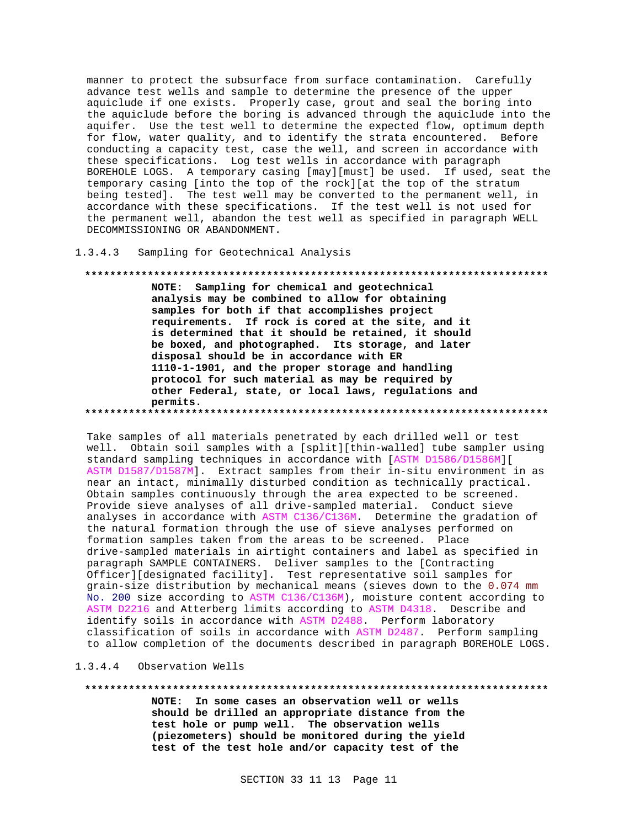manner to protect the subsurface from surface contamination. Carefully advance test wells and sample to determine the presence of the upper aquiclude if one exists. Properly case, grout and seal the boring into the aquiclude before the boring is advanced through the aquiclude into the aquifer. Use the test well to determine the expected flow, optimum depth for flow, water quality, and to identify the strata encountered. Before conducting a capacity test, case the well, and screen in accordance with these specifications. Log test wells in accordance with paragraph BOREHOLE LOGS. A temporary casing [may][must] be used. If used, seat the temporary casing [into the top of the rock][at the top of the stratum being tested]. The test well may be converted to the permanent well, in accordance with these specifications. If the test well is not used for the permanent well, abandon the test well as specified in paragraph WELL DECOMMISSIONING OR ABANDONMENT.

 $1.3.4.3$ Sampling for Geotechnical Analysis

## 

NOTE: Sampling for chemical and geotechnical analysis may be combined to allow for obtaining samples for both if that accomplishes project requirements. If rock is cored at the site, and it is determined that it should be retained, it should be boxed, and photographed. Its storage, and later disposal should be in accordance with ER 1110-1-1901, and the proper storage and handling protocol for such material as may be required by other Federal, state, or local laws, regulations and permits.

Take samples of all materials penetrated by each drilled well or test well. Obtain soil samples with a [split][thin-walled] tube sampler using standard sampling techniques in accordance with [ASTM D1586/D1586M][ ASTM D1587/D1587M]. Extract samples from their in-situ environment in as near an intact, minimally disturbed condition as technically practical. Obtain samples continuously through the area expected to be screened. Provide sieve analyses of all drive-sampled material. Conduct sieve analyses in accordance with ASTM C136/C136M. Determine the gradation of the natural formation through the use of sieve analyses performed on formation samples taken from the areas to be screened. Place drive-sampled materials in airtight containers and label as specified in paragraph SAMPLE CONTAINERS. Deliver samples to the [Contracting Officer][designated facility]. Test representative soil samples for grain-size distribution by mechanical means (sieves down to the 0.074 mm No. 200 size according to ASTM C136/C136M), moisture content according to ASTM D2216 and Atterberg limits according to ASTM D4318. Describe and identify soils in accordance with ASTM D2488. Perform laboratory classification of soils in accordance with ASTM D2487. Perform sampling to allow completion of the documents described in paragraph BOREHOLE LOGS.

#### $1.3.4.4$ Observation Wells

### 

NOTE: In some cases an observation well or wells should be drilled an appropriate distance from the test hole or pump well. The observation wells (piezometers) should be monitored during the yield test of the test hole and/or capacity test of the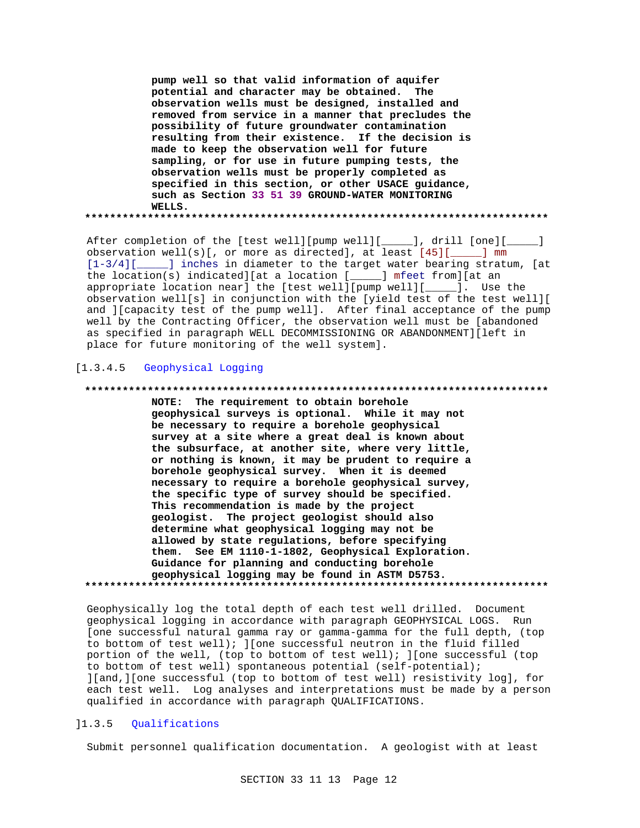pump well so that valid information of aquifer potential and character may be obtained. The observation wells must be designed, installed and removed from service in a manner that precludes the possibility of future groundwater contamination resulting from their existence. If the decision is made to keep the observation well for future sampling, or for use in future pumping tests, the observation wells must be properly completed as specified in this section, or other USACE guidance, such as Section 33 51 39 GROUND-WATER MONITORING WELLS. 

After completion of the [test well][pump well][\_\_\_\_\_], drill [one][\_\_\_\_  $\Box$ observation well(s)[, or more as directed], at least  $[45]$ [ \_\_\_\_ ] mm [1-3/4][\_\_\_\_\_] inches in diameter to the target water bearing stratum, [at the location(s) indicated][at a location [\_\_\_\_\_] mfeet from][at an appropriate location near] the [test well][pump well][\_\_\_\_]. Use the observation well[s] in conjunction with the [yield test of the test well][ and ][capacity test of the pump well]. After final acceptance of the pump well by the Contracting Officer, the observation well must be [abandoned as specified in paragraph WELL DECOMMISSIONING OR ABANDONMENT][left in place for future monitoring of the well system].

# [1.3.4.5 Geophysical Logging

#### \*\*\*\*\*\*\*\*\*\*\*\*\*\*\*\*

NOTE: The requirement to obtain borehole geophysical surveys is optional. While it may not be necessary to require a borehole geophysical survey at a site where a great deal is known about the subsurface, at another site, where very little, or nothing is known, it may be prudent to require a borehole geophysical survey. When it is deemed necessary to require a borehole geophysical survey, the specific type of survey should be specified. This recommendation is made by the project geologist. The project geologist should also determine what geophysical logging may not be allowed by state regulations, before specifying them. See EM 1110-1-1802, Geophysical Exploration. Guidance for planning and conducting borehole geophysical logging may be found in ASTM D5753. 

Geophysically log the total depth of each test well drilled. Document geophysical logging in accordance with paragraph GEOPHYSICAL LOGS. Run [one successful natural gamma ray or gamma-gamma for the full depth, (top to bottom of test well); ] [one successful neutron in the fluid filled portion of the well, (top to bottom of test well); ] [one successful (top to bottom of test well) spontaneous potential (self-potential); ][and, ][one successful (top to bottom of test well) resistivity log], for each test well. Log analyses and interpretations must be made by a person qualified in accordance with paragraph QUALIFICATIONS.

### $]1.3.5$ Qualifications

Submit personnel qualification documentation. A geologist with at least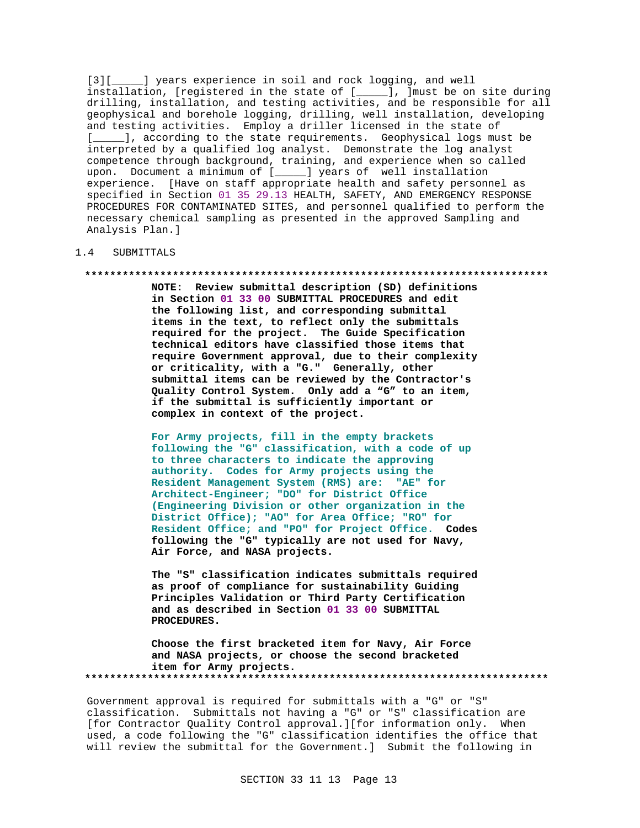[3][  $\Box$ ] years experience in soil and rock logging, and well installation, [registered in the state of [\_\_\_\_\_], ]must be on site during drilling, installation, and testing activities, and be responsible for all geophysical and borehole logging, drilling, well installation, developing and testing activities. Employ a driller licensed in the state of [*\_\_\_\_\_*], according to the state requirements. Geophysical logs must be interpreted by a qualified log analyst. Demonstrate the log analyst competence through background, training, and experience when so called upon. Document a minimum of [\_\_\_\_\_] years of well installation experience. [Have on staff appropriate health and safety personnel as specified in Section 01 35 29.13 HEALTH, SAFETY, AND EMERGENCY RESPONSE PROCEDURES FOR CONTAMINATED SITES, and personnel qualified to perform the necessary chemical sampling as presented in the approved Sampling and Analysis Plan.]

# 1.4 SUBMITTALS

### **\*\*\*\*\*\*\*\*\*\*\*\*\*\*\*\*\*\*\*\*\*\*\*\*\*\*\*\*\*\*\*\*\*\*\*\*\*\*\*\*\*\*\*\*\*\*\*\*\*\*\*\*\*\*\*\*\*\*\*\*\*\*\*\*\*\*\*\*\*\*\*\*\*\***

**NOTE: Review submittal description (SD) definitions in Section 01 33 00 SUBMITTAL PROCEDURES and edit the following list, and corresponding submittal items in the text, to reflect only the submittals required for the project. The Guide Specification technical editors have classified those items that require Government approval, due to their complexity or criticality, with a "G." Generally, other submittal items can be reviewed by the Contractor's Quality Control System. Only add a "G" to an item, if the submittal is sufficiently important or complex in context of the project.**

**For Army projects, fill in the empty brackets following the "G" classification, with a code of up to three characters to indicate the approving authority. Codes for Army projects using the Resident Management System (RMS) are: "AE" for Architect-Engineer; "DO" for District Office (Engineering Division or other organization in the District Office); "AO" for Area Office; "RO" for Resident Office; and "PO" for Project Office. Codes following the "G" typically are not used for Navy, Air Force, and NASA projects.**

**The "S" classification indicates submittals required as proof of compliance for sustainability Guiding Principles Validation or Third Party Certification and as described in Section 01 33 00 SUBMITTAL PROCEDURES.**

**Choose the first bracketed item for Navy, Air Force and NASA projects, or choose the second bracketed item for Army projects. \*\*\*\*\*\*\*\*\*\*\*\*\*\*\*\*\*\*\*\*\*\*\*\*\*\*\*\*\*\*\*\*\*\*\*\*\*\*\*\*\*\*\*\*\*\*\*\*\*\*\*\*\*\*\*\*\*\*\*\*\*\*\*\*\*\*\*\*\*\*\*\*\*\***

Government approval is required for submittals with a "G" or "S" classification. Submittals not having a "G" or "S" classification are [for Contractor Quality Control approval.][for information only. When used, a code following the "G" classification identifies the office that will review the submittal for the Government.] Submit the following in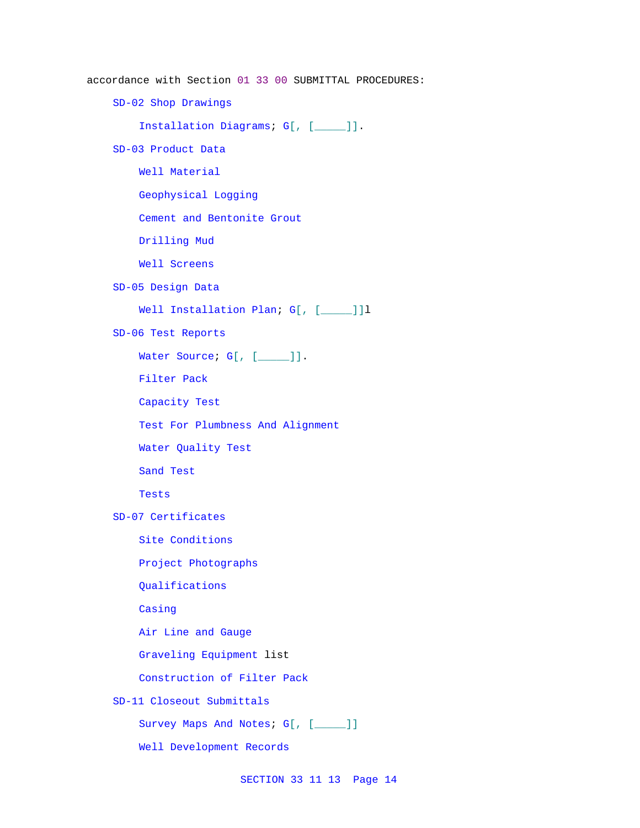accordance with Section 01 33 00 SUBMITTAL PROCEDURES:

SD-02 Shop Drawings

Installation Diagrams; G[, [\_\_\_\_\_]].

SD-03 Product Data

Well Material

Geophysical Logging

Cement and Bentonite Grout

Drilling Mud

Well Screens

SD-05 Design Data

Well Installation Plan; G[, [\_\_\_\_]]1

SD-06 Test Reports

Water Source; G[, [\_\_\_\_\_]].

Filter Pack

Capacity Test

Test For Plumbness And Alignment

Water Quality Test

Sand Test

Tests

SD-07 Certificates

Site Conditions

Project Photographs

Qualifications

Casing

Air Line and Gauge

Graveling Equipment list

Construction of Filter Pack

SD-11 Closeout Submittals

Survey Maps And Notes; G[, [\_\_\_\_]]

Well Development Records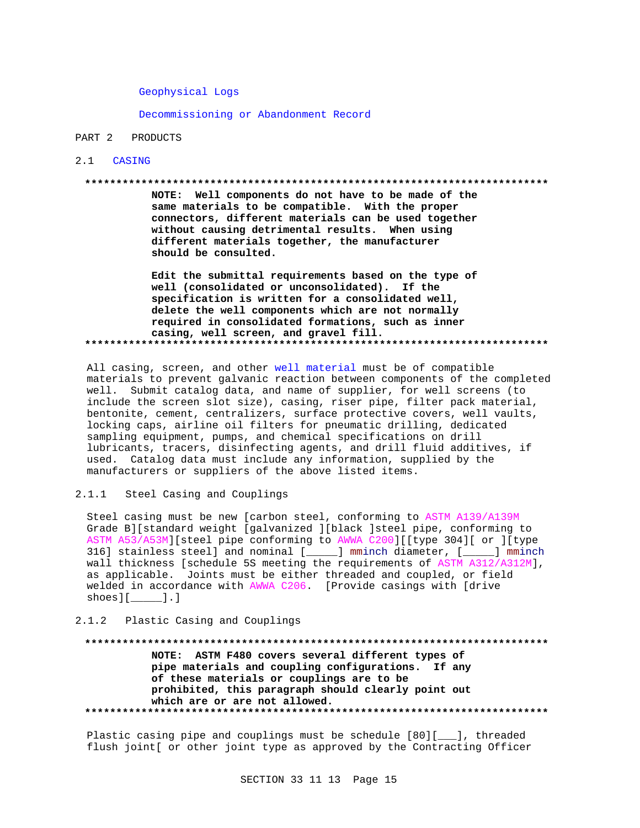Geophysical Logs

Decommissioning or Abandonment Record

#### PART 2 PRODUCTS

### 2.1 CASING

### 

NOTE: Well components do not have to be made of the same materials to be compatible. With the proper connectors, different materials can be used together without causing detrimental results. When using different materials together, the manufacturer should be consulted.

Edit the submittal requirements based on the type of well (consolidated or unconsolidated). If the specification is written for a consolidated well, delete the well components which are not normally required in consolidated formations, such as inner casing, well screen, and gravel fill. 

All casing, screen, and other well material must be of compatible materials to prevent galvanic reaction between components of the completed well. Submit catalog data, and name of supplier, for well screens (to include the screen slot size), casing, riser pipe, filter pack material, bentonite, cement, centralizers, surface protective covers, well vaults, locking caps, airline oil filters for pneumatic drilling, dedicated sampling equipment, pumps, and chemical specifications on drill lubricants, tracers, disinfecting agents, and drill fluid additives, if used. Catalog data must include any information, supplied by the manufacturers or suppliers of the above listed items.

 $2.1.1$ Steel Casing and Couplings

Steel casing must be new [carbon steel, conforming to ASTM A139/A139M Grade B][standard weight [galvanized ][black ]steel pipe, conforming to ASTM A53/A53M][steel pipe conforming to AWWA C200][[type 304][ or ][type 316] stainless steel] and nominal [\_\_\_\_\_] mminch diameter, [\_\_\_\_] mminch wall thickness [schedule 5S meeting the requirements of ASTM A312/A312M], as applicable. Joints must be either threaded and coupled, or field welded in accordance with AWWA C206. [Provide casings with [drive  $shoes$ ][\_\_\_\_].]

### Plastic Casing and Couplings  $2.1.2$

NOTE: ASTM F480 covers several different types of pipe materials and coupling configurations. If any of these materials or couplings are to be prohibited, this paragraph should clearly point out which are or are not allowed. 

Plastic casing pipe and couplings must be schedule [80][\_\_\_], threaded flush joint[ or other joint type as approved by the Contracting Officer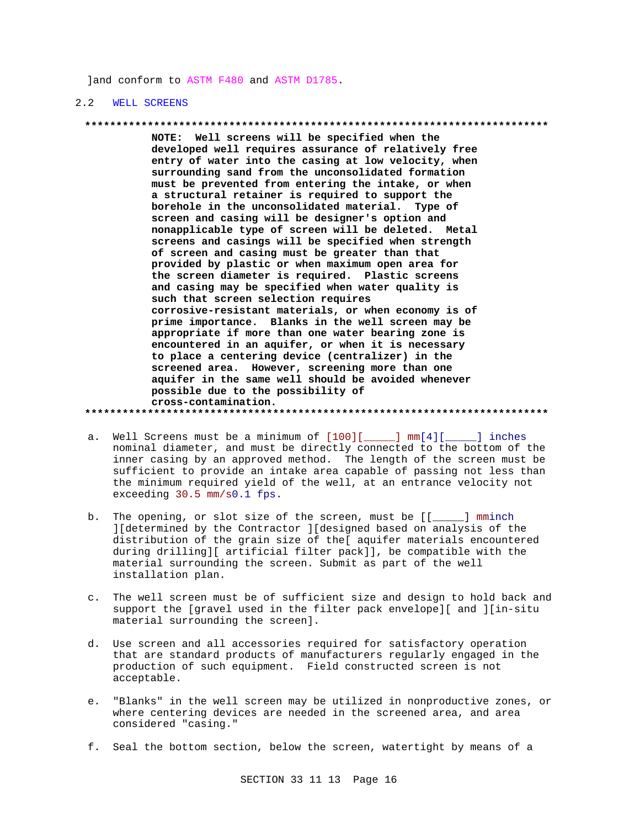]and conform to ASTM F480 and ASTM D1785.

## 2.2 WELL SCREENS

### **\*\*\*\*\*\*\*\*\*\*\*\*\*\*\*\*\*\*\*\*\*\*\*\*\*\*\*\*\*\*\*\*\*\*\*\*\*\*\*\*\*\*\*\*\*\*\*\*\*\*\*\*\*\*\*\*\*\*\*\*\*\*\*\*\*\*\*\*\*\*\*\*\*\***

**NOTE: Well screens will be specified when the developed well requires assurance of relatively free entry of water into the casing at low velocity, when surrounding sand from the unconsolidated formation must be prevented from entering the intake, or when a structural retainer is required to support the borehole in the unconsolidated material. Type of screen and casing will be designer's option and nonapplicable type of screen will be deleted. Metal screens and casings will be specified when strength of screen and casing must be greater than that provided by plastic or when maximum open area for the screen diameter is required. Plastic screens and casing may be specified when water quality is such that screen selection requires corrosive-resistant materials, or when economy is of prime importance. Blanks in the well screen may be appropriate if more than one water bearing zone is encountered in an aquifer, or when it is necessary to place a centering device (centralizer) in the screened area. However, screening more than one aquifer in the same well should be avoided whenever possible due to the possibility of cross-contamination.**

**\*\*\*\*\*\*\*\*\*\*\*\*\*\*\*\*\*\*\*\*\*\*\*\*\*\*\*\*\*\*\*\*\*\*\*\*\*\*\*\*\*\*\*\*\*\*\*\*\*\*\*\*\*\*\*\*\*\*\*\*\*\*\*\*\*\*\*\*\*\*\*\*\*\***

- a. Well Screens must be a minimum of  $[100][$  [10][ ] mm[4][ \_\_\_\_] inches nominal diameter, and must be directly connected to the bottom of the inner casing by an approved method. The length of the screen must be sufficient to provide an intake area capable of passing not less than the minimum required yield of the well, at an entrance velocity not exceeding 30.5 mm/s0.1 fps.
- b. The opening, or slot size of the screen, must be [[\_\_\_\_\_] mminch ][determined by the Contractor ][designed based on analysis of the distribution of the grain size of the[ aquifer materials encountered during drilling][ artificial filter pack]], be compatible with the material surrounding the screen. Submit as part of the well installation plan.
- c. The well screen must be of sufficient size and design to hold back and support the [gravel used in the filter pack envelope][ and ][in-situ material surrounding the screen].
- d. Use screen and all accessories required for satisfactory operation that are standard products of manufacturers regularly engaged in the production of such equipment. Field constructed screen is not acceptable.
- e. "Blanks" in the well screen may be utilized in nonproductive zones, or where centering devices are needed in the screened area, and area considered "casing."
- f. Seal the bottom section, below the screen, watertight by means of a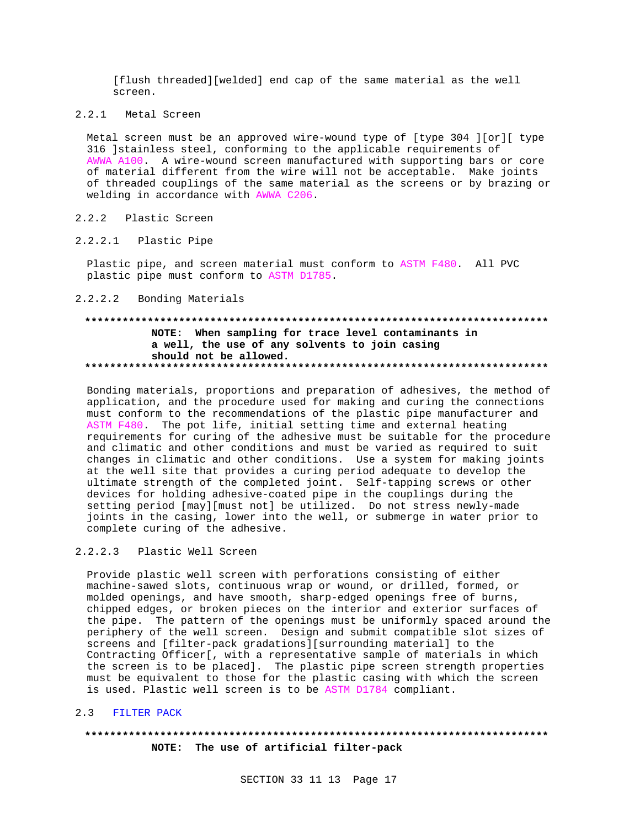[flush threaded][welded] end cap of the same material as the well screen.

2.2.1 Metal Screen

Metal screen must be an approved wire-wound type of [type 304 ][or][ type 316 ]stainless steel, conforming to the applicable requirements of AWWA A100. A wire-wound screen manufactured with supporting bars or core of material different from the wire will not be acceptable. Make joints of threaded couplings of the same material as the screens or by brazing or welding in accordance with AWWA C206.

#### $2, 2, 2$ Plastic Screen

#### $2.2.2.1$ Plastic Pipe

Plastic pipe, and screen material must conform to ASTM F480. All PVC plastic pipe must conform to ASTM D1785.

## 2.2.2.2 Bonding Materials

# NOTE: When sampling for trace level contaminants in a well, the use of any solvents to join casing should not be allowed.

Bonding materials, proportions and preparation of adhesives, the method of application, and the procedure used for making and curing the connections must conform to the recommendations of the plastic pipe manufacturer and ASTM F480. The pot life, initial setting time and external heating requirements for curing of the adhesive must be suitable for the procedure and climatic and other conditions and must be varied as required to suit changes in climatic and other conditions. Use a system for making joints at the well site that provides a curing period adequate to develop the ultimate strength of the completed joint. Self-tapping screws or other devices for holding adhesive-coated pipe in the couplings during the setting period [may][must not] be utilized. Do not stress newly-made joints in the casing, lower into the well, or submerge in water prior to complete curing of the adhesive.

#### $2.2.2.3$ Plastic Well Screen

Provide plastic well screen with perforations consisting of either machine-sawed slots, continuous wrap or wound, or drilled, formed, or molded openings, and have smooth, sharp-edged openings free of burns, chipped edges, or broken pieces on the interior and exterior surfaces of the pipe. The pattern of the openings must be uniformly spaced around the periphery of the well screen. Design and submit compatible slot sizes of screens and [filter-pack gradations][surrounding material] to the Contracting Officer[, with a representative sample of materials in which the screen is to be placed]. The plastic pipe screen strength properties must be equivalent to those for the plastic casing with which the screen is used. Plastic well screen is to be ASTM D1784 compliant.

#### $2.3$ FILTER PACK

# NOTE: The use of artificial filter-pack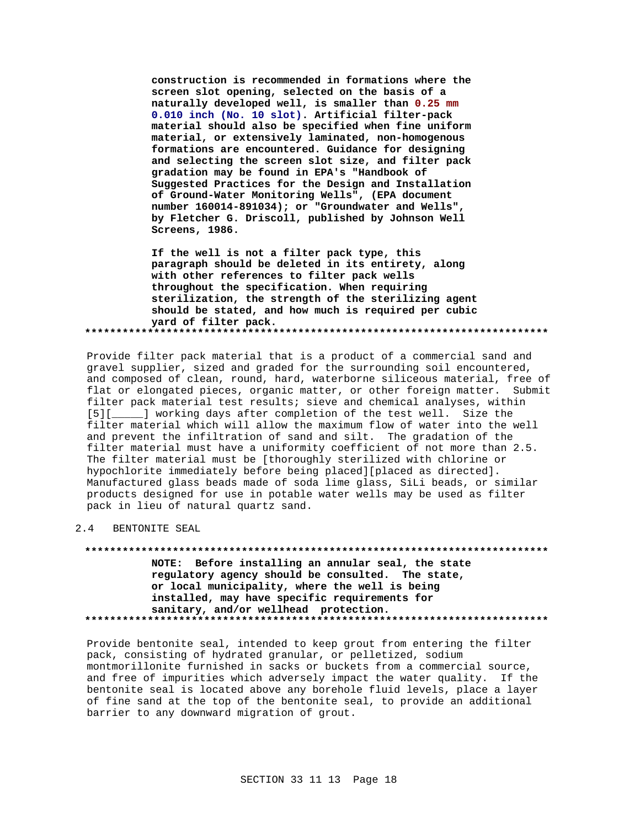**construction is recommended in formations where the screen slot opening, selected on the basis of a naturally developed well, is smaller than 0.25 mm 0.010 inch (No. 10 slot). Artificial filter-pack material should also be specified when fine uniform material, or extensively laminated, non-homogenous formations are encountered. Guidance for designing and selecting the screen slot size, and filter pack gradation may be found in EPA's "Handbook of Suggested Practices for the Design and Installation of Ground-Water Monitoring Wells", (EPA document number 160014-891034); or "Groundwater and Wells", by Fletcher G. Driscoll, published by Johnson Well Screens, 1986.**

**If the well is not a filter pack type, this paragraph should be deleted in its entirety, along with other references to filter pack wells throughout the specification. When requiring sterilization, the strength of the sterilizing agent should be stated, and how much is required per cubic yard of filter pack. \*\*\*\*\*\*\*\*\*\*\*\*\*\*\*\*\*\*\*\*\*\*\*\*\*\*\*\*\*\*\*\*\*\*\*\*\*\*\*\*\*\*\*\*\*\*\*\*\*\*\*\*\*\*\*\*\*\*\*\*\*\*\*\*\*\*\*\*\*\*\*\*\*\***

Provide filter pack material that is a product of a commercial sand and gravel supplier, sized and graded for the surrounding soil encountered, and composed of clean, round, hard, waterborne siliceous material, free of flat or elongated pieces, organic matter, or other foreign matter. Submit filter pack material test results; sieve and chemical analyses, within [5][\_\_\_\_\_] working days after completion of the test well. Size the filter material which will allow the maximum flow of water into the well and prevent the infiltration of sand and silt. The gradation of the filter material must have a uniformity coefficient of not more than 2.5. The filter material must be [thoroughly sterilized with chlorine or hypochlorite immediately before being placed][placed as directed]. Manufactured glass beads made of soda lime glass, SiLi beads, or similar products designed for use in potable water wells may be used as filter pack in lieu of natural quartz sand.

# 2.4 BENTONITE SEAL

**\*\*\*\*\*\*\*\*\*\*\*\*\*\*\*\*\*\*\*\*\*\*\*\*\*\*\*\*\*\*\*\*\*\*\*\*\*\*\*\*\*\*\*\*\*\*\*\*\*\*\*\*\*\*\*\*\*\*\*\*\*\*\*\*\*\*\*\*\*\*\*\*\*\* NOTE: Before installing an annular seal, the state regulatory agency should be consulted. The state, or local municipality, where the well is being installed, may have specific requirements for sanitary, and/or wellhead protection. \*\*\*\*\*\*\*\*\*\*\*\*\*\*\*\*\*\*\*\*\*\*\*\*\*\*\*\*\*\*\*\*\*\*\*\*\*\*\*\*\*\*\*\*\*\*\*\*\*\*\*\*\*\*\*\*\*\*\*\*\*\*\*\*\*\*\*\*\*\*\*\*\*\***

Provide bentonite seal, intended to keep grout from entering the filter pack, consisting of hydrated granular, or pelletized, sodium montmorillonite furnished in sacks or buckets from a commercial source, and free of impurities which adversely impact the water quality. If the bentonite seal is located above any borehole fluid levels, place a layer of fine sand at the top of the bentonite seal, to provide an additional barrier to any downward migration of grout.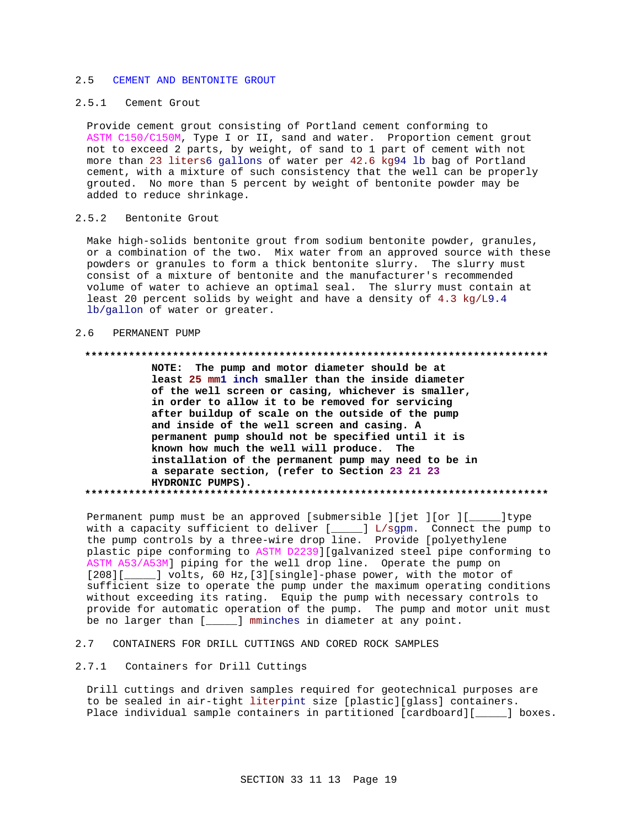#### CEMENT AND BENTONITE GROUT  $2.5$

# 2.5.1 Cement Grout

Provide cement grout consisting of Portland cement conforming to ASTM C150/C150M, Type I or II, sand and water. Proportion cement grout not to exceed 2 parts, by weight, of sand to 1 part of cement with not more than 23 liters6 gallons of water per 42.6 kg94 lb bag of Portland cement, with a mixture of such consistency that the well can be properly grouted. No more than 5 percent by weight of bentonite powder may be added to reduce shrinkage.

#### $2.5.2$ Bentonite Grout

Make high-solids bentonite grout from sodium bentonite powder, granules, or a combination of the two. Mix water from an approved source with these powders or granules to form a thick bentonite slurry. The slurry must consist of a mixture of bentonite and the manufacturer's recommended volume of water to achieve an optimal seal. The slurry must contain at least 20 percent solids by weight and have a density of 4.3 kg/L9.4 lb/gallon of water or greater.

#### $2.6$ PERMANENT PUMP

### 

NOTE: The pump and motor diameter should be at least 25 mml inch smaller than the inside diameter of the well screen or casing, whichever is smaller, in order to allow it to be removed for servicing after buildup of scale on the outside of the pump and inside of the well screen and casing. A permanent pump should not be specified until it is known how much the well will produce. The installation of the permanent pump may need to be in a separate section, (refer to Section 23 21 23 HYDRONIC PUMPS). 

Permanent pump must be an approved [submersible ][jet ][or ][\_\_\_\_\_\_]type with a capacity sufficient to deliver [\_\_\_\_] L/sgpm. Connect the pump to the pump controls by a three-wire drop line. Provide [polyethylene plastic pipe conforming to ASTM D2239][galvanized steel pipe conforming to ASTM A53/A53M] piping for the well drop line. Operate the pump on [208][\_\_\_\_\_] volts, 60 Hz, [3][single]-phase power, with the motor of sufficient size to operate the pump under the maximum operating conditions without exceeding its rating. Equip the pump with necessary controls to provide for automatic operation of the pump. The pump and motor unit must be no larger than [\_\_\_\_\_] mminches in diameter at any point.

#### $2.7$ CONTAINERS FOR DRILL CUTTINGS AND CORED ROCK SAMPLES

# 2.7.1 Containers for Drill Cuttings

Drill cuttings and driven samples required for geotechnical purposes are to be sealed in air-tight literpint size [plastic][glass] containers. Place individual sample containers in partitioned [cardboard][\_\_\_\_\_] boxes.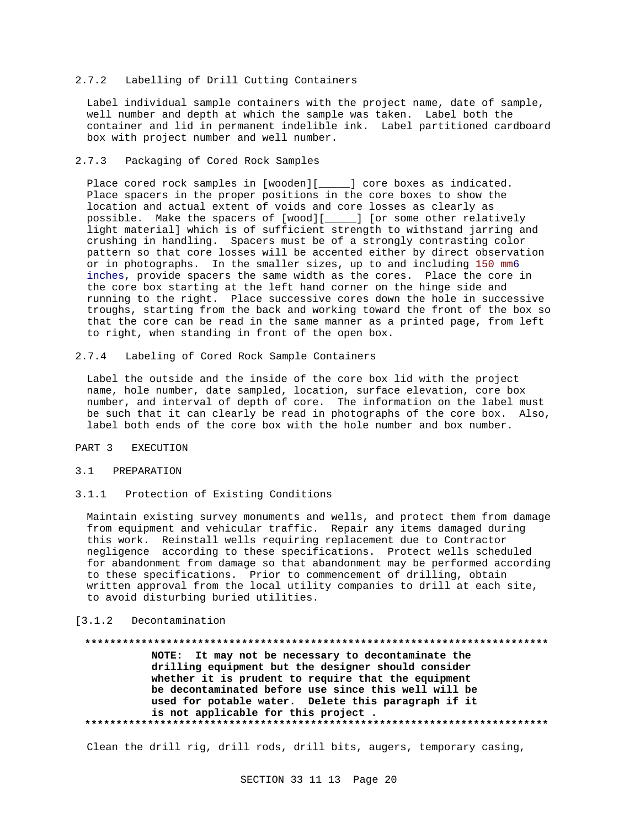## 2.7.2 Labelling of Drill Cutting Containers

Label individual sample containers with the project name, date of sample, well number and depth at which the sample was taken. Label both the container and lid in permanent indelible ink. Label partitioned cardboard box with project number and well number.

## 2.7.3 Packaging of Cored Rock Samples

Place cored rock samples in [wooden][\_\_\_\_\_] core boxes as indicated. Place spacers in the proper positions in the core boxes to show the location and actual extent of voids and core losses as clearly as possible. Make the spacers of [wood][\_\_\_\_\_] [or some other relatively light material] which is of sufficient strength to withstand jarring and crushing in handling. Spacers must be of a strongly contrasting color pattern so that core losses will be accented either by direct observation or in photographs. In the smaller sizes, up to and including 150 mm6 inches, provide spacers the same width as the cores. Place the core in the core box starting at the left hand corner on the hinge side and running to the right. Place successive cores down the hole in successive troughs, starting from the back and working toward the front of the box so that the core can be read in the same manner as a printed page, from left to right, when standing in front of the open box.

2.7.4 Labeling of Cored Rock Sample Containers

Label the outside and the inside of the core box lid with the project name, hole number, date sampled, location, surface elevation, core box number, and interval of depth of core. The information on the label must be such that it can clearly be read in photographs of the core box. Also, label both ends of the core box with the hole number and box number.

# PART 3 EXECUTION

### 3.1 PREPARATION

3.1.1 Protection of Existing Conditions

Maintain existing survey monuments and wells, and protect them from damage from equipment and vehicular traffic. Repair any items damaged during this work. Reinstall wells requiring replacement due to Contractor negligence according to these specifications. Protect wells scheduled for abandonment from damage so that abandonment may be performed according to these specifications. Prior to commencement of drilling, obtain written approval from the local utility companies to drill at each site, to avoid disturbing buried utilities.

# [3.1.2 Decontamination

# **\*\*\*\*\*\*\*\*\*\*\*\*\*\*\*\*\*\*\*\*\*\*\*\*\*\*\*\*\*\*\*\*\*\*\*\*\*\*\*\*\*\*\*\*\*\*\*\*\*\*\*\*\*\*\*\*\*\*\*\*\*\*\*\*\*\*\*\*\*\*\*\*\*\* NOTE: It may not be necessary to decontaminate the drilling equipment but the designer should consider whether it is prudent to require that the equipment be decontaminated before use since this well will be used for potable water. Delete this paragraph if it is not applicable for this project . \*\*\*\*\*\*\*\*\*\*\*\*\*\*\*\*\*\*\*\*\*\*\*\*\*\*\*\*\*\*\*\*\*\*\*\*\*\*\*\*\*\*\*\*\*\*\*\*\*\*\*\*\*\*\*\*\*\*\*\*\*\*\*\*\*\*\*\*\*\*\*\*\*\***

Clean the drill rig, drill rods, drill bits, augers, temporary casing,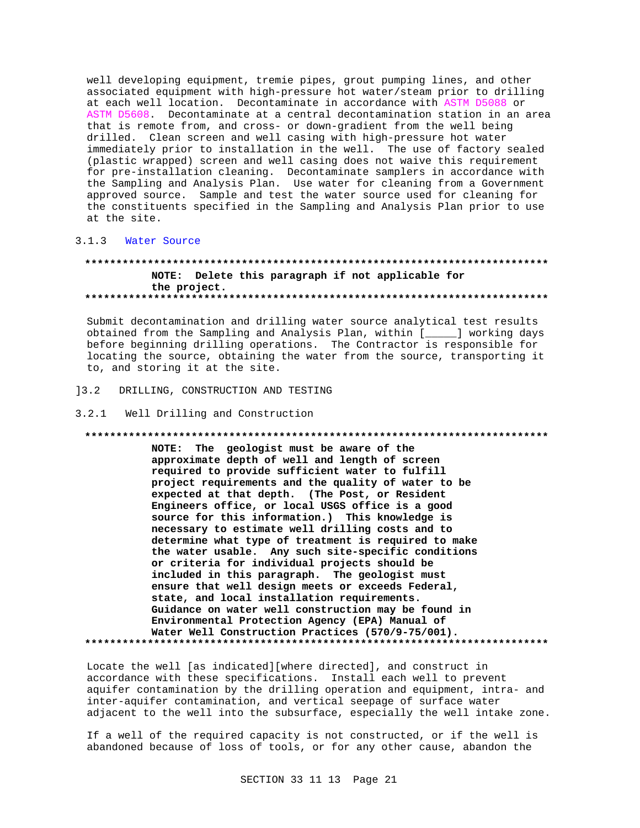well developing equipment, tremie pipes, grout pumping lines, and other associated equipment with high-pressure hot water/steam prior to drilling at each well location. Decontaminate in accordance with ASTM D5088 or ASTM D5608. Decontaminate at a central decontamination station in an area that is remote from, and cross- or down-gradient from the well being drilled. Clean screen and well casing with high-pressure hot water immediately prior to installation in the well. The use of factory sealed (plastic wrapped) screen and well casing does not waive this requirement for pre-installation cleaning. Decontaminate samplers in accordance with the Sampling and Analysis Plan. Use water for cleaning from a Government approved source. Sample and test the water source used for cleaning for the constituents specified in the Sampling and Analysis Plan prior to use at the site.

#### $3.1.3$ Water Source

# NOTE: Delete this paragraph if not applicable for the project.

Submit decontamination and drilling water source analytical test results obtained from the Sampling and Analysis Plan, within [\_\_\_\_\_] working days before beginning drilling operations. The Contractor is responsible for locating the source, obtaining the water from the source, transporting it to, and storing it at the site.

 $] 3.2$ DRILLING, CONSTRUCTION AND TESTING

3.2.1 Well Drilling and Construction

### 

NOTE: The geologist must be aware of the approximate depth of well and length of screen required to provide sufficient water to fulfill project requirements and the quality of water to be expected at that depth. (The Post, or Resident Engineers office, or local USGS office is a good source for this information.) This knowledge is necessary to estimate well drilling costs and to determine what type of treatment is required to make the water usable. Any such site-specific conditions or criteria for individual projects should be included in this paragraph. The geologist must ensure that well design meets or exceeds Federal, state, and local installation requirements. Guidance on water well construction may be found in Environmental Protection Agency (EPA) Manual of Water Well Construction Practices (570/9-75/001). 

Locate the well [as indicated][where directed], and construct in accordance with these specifications. Install each well to prevent aquifer contamination by the drilling operation and equipment, intra- and inter-aquifer contamination, and vertical seepage of surface water adjacent to the well into the subsurface, especially the well intake zone.

If a well of the required capacity is not constructed, or if the well is abandoned because of loss of tools, or for any other cause, abandon the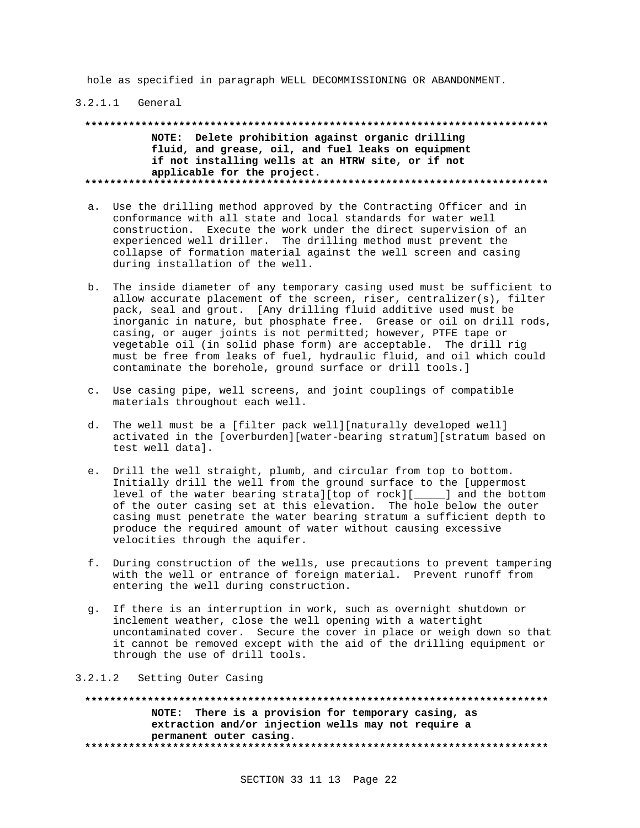hole as specified in paragraph WELL DECOMMISSIONING OR ABANDONMENT.

## 3.2.1.1 General

**\*\*\*\*\*\*\*\*\*\*\*\*\*\*\*\*\*\*\*\*\*\*\*\*\*\*\*\*\*\*\*\*\*\*\*\*\*\*\*\*\*\*\*\*\*\*\*\*\*\*\*\*\*\*\*\*\*\*\*\*\*\*\*\*\*\*\*\*\*\*\*\*\*\* NOTE: Delete prohibition against organic drilling fluid, and grease, oil, and fuel leaks on equipment if not installing wells at an HTRW site, or if not applicable for the project. \*\*\*\*\*\*\*\*\*\*\*\*\*\*\*\*\*\*\*\*\*\*\*\*\*\*\*\*\*\*\*\*\*\*\*\*\*\*\*\*\*\*\*\*\*\*\*\*\*\*\*\*\*\*\*\*\*\*\*\*\*\*\*\*\*\*\*\*\*\*\*\*\*\***

- a. Use the drilling method approved by the Contracting Officer and in conformance with all state and local standards for water well construction. Execute the work under the direct supervision of an experienced well driller. The drilling method must prevent the collapse of formation material against the well screen and casing during installation of the well.
- b. The inside diameter of any temporary casing used must be sufficient to allow accurate placement of the screen, riser, centralizer(s), filter pack, seal and grout. [Any drilling fluid additive used must be inorganic in nature, but phosphate free. Grease or oil on drill rods, casing, or auger joints is not permitted; however, PTFE tape or vegetable oil (in solid phase form) are acceptable. The drill rig must be free from leaks of fuel, hydraulic fluid, and oil which could contaminate the borehole, ground surface or drill tools.]
- c. Use casing pipe, well screens, and joint couplings of compatible materials throughout each well.
- d. The well must be a [filter pack well][naturally developed well] activated in the [overburden][water-bearing stratum][stratum based on test well data].
- e. Drill the well straight, plumb, and circular from top to bottom. Initially drill the well from the ground surface to the [uppermost level of the water bearing strata][top of rock][\_\_\_\_\_] and the bottom of the outer casing set at this elevation. The hole below the outer casing must penetrate the water bearing stratum a sufficient depth to produce the required amount of water without causing excessive velocities through the aquifer.
- f. During construction of the wells, use precautions to prevent tampering with the well or entrance of foreign material. Prevent runoff from entering the well during construction.
- g. If there is an interruption in work, such as overnight shutdown or inclement weather, close the well opening with a watertight uncontaminated cover. Secure the cover in place or weigh down so that it cannot be removed except with the aid of the drilling equipment or through the use of drill tools.

3.2.1.2 Setting Outer Casing

**\*\*\*\*\*\*\*\*\*\*\*\*\*\*\*\*\*\*\*\*\*\*\*\*\*\*\*\*\*\*\*\*\*\*\*\*\*\*\*\*\*\*\*\*\*\*\*\*\*\*\*\*\*\*\*\*\*\*\*\*\*\*\*\*\*\*\*\*\*\*\*\*\*\* NOTE: There is a provision for temporary casing, as extraction and/or injection wells may not require a permanent outer casing. \*\*\*\*\*\*\*\*\*\*\*\*\*\*\*\*\*\*\*\*\*\*\*\*\*\*\*\*\*\*\*\*\*\*\*\*\*\*\*\*\*\*\*\*\*\*\*\*\*\*\*\*\*\*\*\*\*\*\*\*\*\*\*\*\*\*\*\*\*\*\*\*\*\***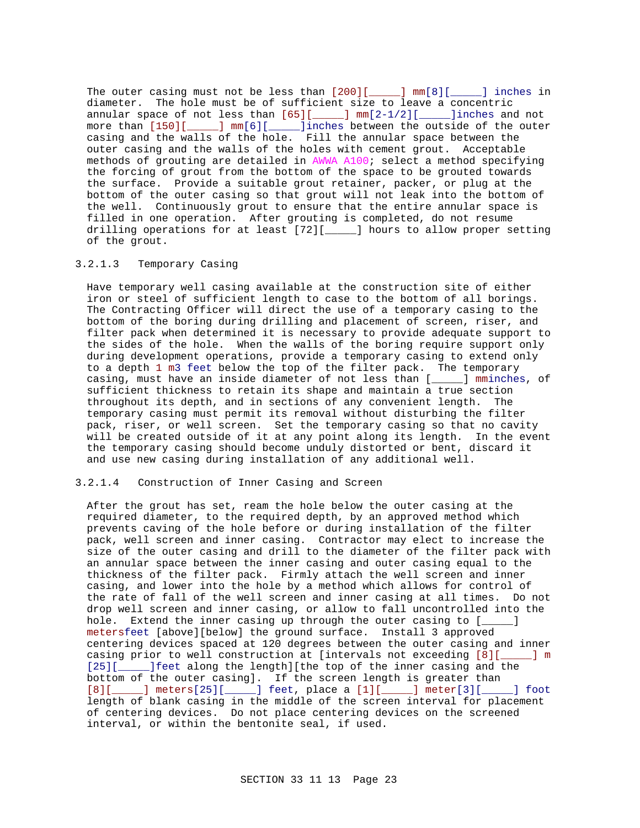The outer casing must not be less than [200][\_\_\_\_\_] mm[8][\_\_\_\_\_] inches in diameter. The hole must be of sufficient size to leave a concentric annular space of not less than [65][\_\_\_\_\_] mm[2-1/2][\_\_\_\_\_]inches and not more than [150][\_\_\_\_\_] mm[6][\_\_\_\_\_]inches between the outside of the outer casing and the walls of the hole. Fill the annular space between the outer casing and the walls of the holes with cement grout. Acceptable methods of grouting are detailed in AWWA A100; select a method specifying the forcing of grout from the bottom of the space to be grouted towards the surface. Provide a suitable grout retainer, packer, or plug at the bottom of the outer casing so that grout will not leak into the bottom of the well. Continuously grout to ensure that the entire annular space is filled in one operation. After grouting is completed, do not resume drilling operations for at least [72][\_\_\_\_\_] hours to allow proper setting of the grout.

## 3.2.1.3 Temporary Casing

Have temporary well casing available at the construction site of either iron or steel of sufficient length to case to the bottom of all borings. The Contracting Officer will direct the use of a temporary casing to the bottom of the boring during drilling and placement of screen, riser, and filter pack when determined it is necessary to provide adequate support to the sides of the hole. When the walls of the boring require support only during development operations, provide a temporary casing to extend only to a depth 1 m3 feet below the top of the filter pack. The temporary casing, must have an inside diameter of not less than [\_\_\_\_\_] mminches, of sufficient thickness to retain its shape and maintain a true section throughout its depth, and in sections of any convenient length. The temporary casing must permit its removal without disturbing the filter pack, riser, or well screen. Set the temporary casing so that no cavity will be created outside of it at any point along its length. In the event the temporary casing should become unduly distorted or bent, discard it and use new casing during installation of any additional well.

## 3.2.1.4 Construction of Inner Casing and Screen

After the grout has set, ream the hole below the outer casing at the required diameter, to the required depth, by an approved method which prevents caving of the hole before or during installation of the filter pack, well screen and inner casing. Contractor may elect to increase the size of the outer casing and drill to the diameter of the filter pack with an annular space between the inner casing and outer casing equal to the thickness of the filter pack. Firmly attach the well screen and inner casing, and lower into the hole by a method which allows for control of the rate of fall of the well screen and inner casing at all times. Do not drop well screen and inner casing, or allow to fall uncontrolled into the hole. Extend the inner casing up through the outer casing to [\_\_\_\_] metersfeet [above][below] the ground surface. Install 3 approved centering devices spaced at 120 degrees between the outer casing and inner casing prior to well construction at [intervals not exceeding [8][\_\_\_\_\_] m [25][\_\_\_\_\_\_]feet along the length][the top of the inner casing and the bottom of the outer casing]. If the screen length is greater than [8][\_\_\_\_\_] meters[25][\_\_\_\_\_] feet, place a [1][\_\_\_\_\_] meter[3][\_\_\_\_\_] foot length of blank casing in the middle of the screen interval for placement of centering devices. Do not place centering devices on the screened interval, or within the bentonite seal, if used.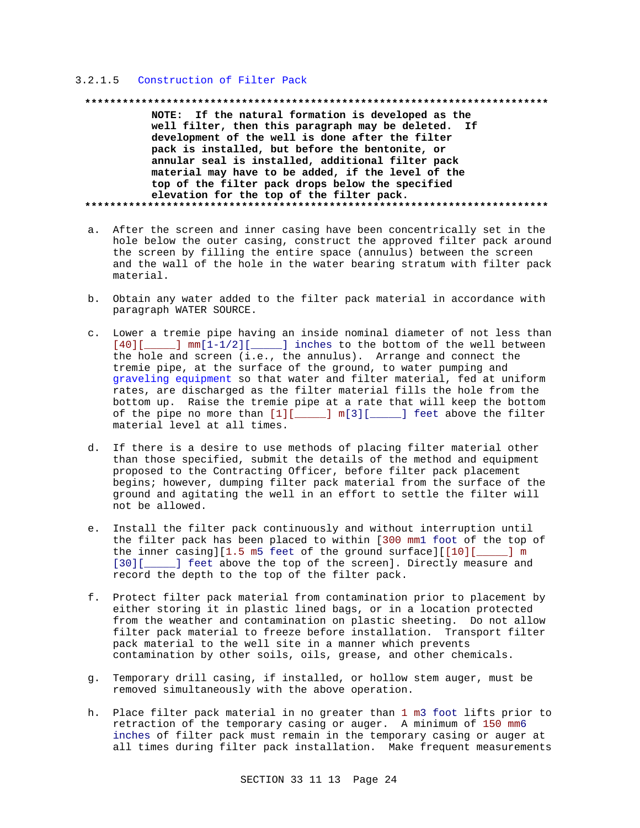# 3.2.1.5 Construction of Filter Pack

### 

NOTE: If the natural formation is developed as the well filter, then this paragraph may be deleted. If development of the well is done after the filter pack is installed, but before the bentonite, or annular seal is installed, additional filter pack material may have to be added, if the level of the top of the filter pack drops below the specified elevation for the top of the filter pack. 

- a. After the screen and inner casing have been concentrically set in the hole below the outer casing, construct the approved filter pack around the screen by filling the entire space (annulus) between the screen and the wall of the hole in the water bearing stratum with filter pack material.
- b. Obtain any water added to the filter pack material in accordance with paragraph WATER SOURCE.
- c. Lower a tremie pipe having an inside nominal diameter of not less than  $[40]$ [ $\_\_\_\_\$ ] mm[1-1/2][ $\_\_\_\_\_\$ ] inches to the bottom of the well between the hole and screen (i.e., the annulus). Arrange and connect the tremie pipe, at the surface of the ground, to water pumping and graveling equipment so that water and filter material, fed at uniform rates, are discharged as the filter material fills the hole from the bottom up. Raise the tremie pipe at a rate that will keep the bottom of the pipe no more than  $[1][$  [1][ [1] [1] [1] [1] [1] [1] feet above the filter material level at all times.
- d. If there is a desire to use methods of placing filter material other than those specified, submit the details of the method and equipment proposed to the Contracting Officer, before filter pack placement begins; however, dumping filter pack material from the surface of the ground and agitating the well in an effort to settle the filter will not be allowed.
- e. Install the filter pack continuously and without interruption until the filter pack has been placed to within [300 mml foot of the top of the inner casing][1.5  $m5$  feet of the ground surface][[10][  $\_$  1  $~$  m  $~$ [30][\_\_\_\_\_] feet above the top of the screen]. Directly measure and record the depth to the top of the filter pack.
- f. Protect filter pack material from contamination prior to placement by either storing it in plastic lined bags, or in a location protected from the weather and contamination on plastic sheeting. Do not allow filter pack material to freeze before installation. Transport filter pack material to the well site in a manner which prevents contamination by other soils, oils, grease, and other chemicals.
- g. Temporary drill casing, if installed, or hollow stem auger, must be removed simultaneously with the above operation.
- h. Place filter pack material in no greater than 1 m3 foot lifts prior to retraction of the temporary casing or auger. A minimum of 150 mm6 inches of filter pack must remain in the temporary casing or auger at all times during filter pack installation. Make frequent measurements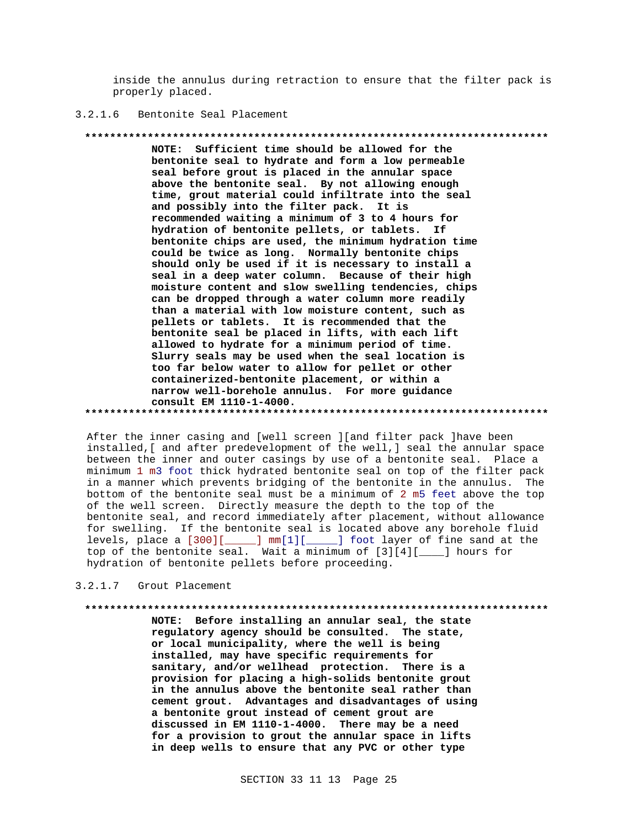inside the annulus during retraction to ensure that the filter pack is properly placed.

#### $3.2.1.6$ Bentonite Seal Placement

## 

NOTE: Sufficient time should be allowed for the bentonite seal to hydrate and form a low permeable seal before grout is placed in the annular space above the bentonite seal. By not allowing enough time, grout material could infiltrate into the seal and possibly into the filter pack. It is recommended waiting a minimum of 3 to 4 hours for hydration of bentonite pellets, or tablets. If bentonite chips are used, the minimum hydration time could be twice as long. Normally bentonite chips should only be used if it is necessary to install a seal in a deep water column. Because of their high moisture content and slow swelling tendencies, chips can be dropped through a water column more readily than a material with low moisture content, such as pellets or tablets. It is recommended that the bentonite seal be placed in lifts, with each lift allowed to hydrate for a minimum period of time. Slurry seals may be used when the seal location is too far below water to allow for pellet or other containerized-bentonite placement, or within a narrow well-borehole annulus. For more guidance consult EM 1110-1-4000. 

After the inner casing and [well screen ] [and filter pack ] have been installed, [ and after predevelopment of the well, ] seal the annular space between the inner and outer casings by use of a bentonite seal. Place a minimum 1 m3 foot thick hydrated bentonite seal on top of the filter pack in a manner which prevents bridging of the bentonite in the annulus. The bottom of the bentonite seal must be a minimum of 2 m5 feet above the top of the well screen. Directly measure the depth to the top of the bentonite seal, and record immediately after placement, without allowance for swelling. If the bentonite seal is located above any borehole fluid levels, place a [300][\_\_\_\_\_] mm[1][\_\_\_\_\_] foot layer of fine sand at the top of the bentonite seal. Wait a minimum of [3][4][\_\_\_] hours for hydration of bentonite pellets before proceeding.

3.2.1.7 Grout Placement

NOTE: Before installing an annular seal, the state regulatory agency should be consulted. The state, or local municipality, where the well is being installed, may have specific requirements for sanitary, and/or wellhead protection. There is a provision for placing a high-solids bentonite grout in the annulus above the bentonite seal rather than cement grout. Advantages and disadvantages of using a bentonite grout instead of cement grout are discussed in EM 1110-1-4000. There may be a need

> for a provision to grout the annular space in lifts in deep wells to ensure that any PVC or other type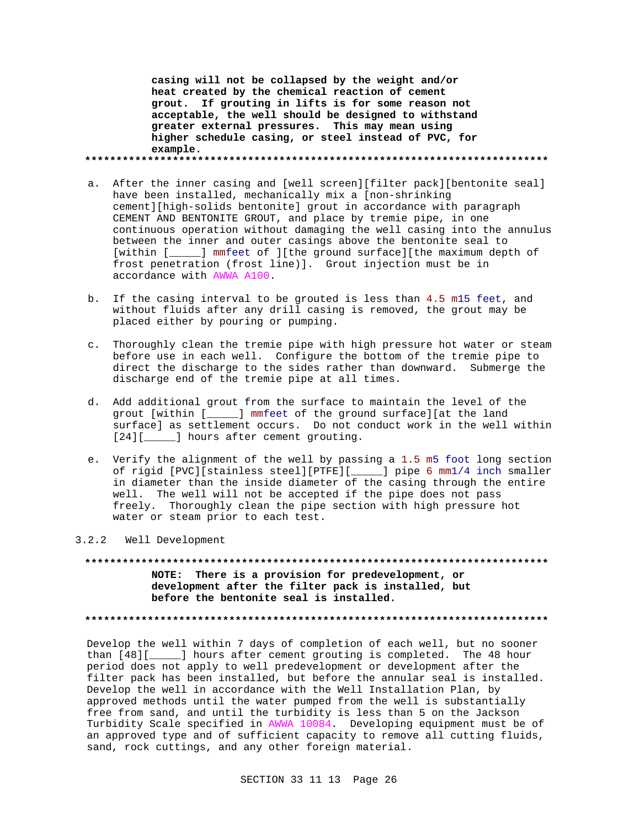**casing will not be collapsed by the weight and/or heat created by the chemical reaction of cement grout. If grouting in lifts is for some reason not acceptable, the well should be designed to withstand greater external pressures. This may mean using higher schedule casing, or steel instead of PVC, for example. \*\*\*\*\*\*\*\*\*\*\*\*\*\*\*\*\*\*\*\*\*\*\*\*\*\*\*\*\*\*\*\*\*\*\*\*\*\*\*\*\*\*\*\*\*\*\*\*\*\*\*\*\*\*\*\*\*\*\*\*\*\*\*\*\*\*\*\*\*\*\*\*\*\***

a. After the inner casing and [well screen][filter pack][bentonite seal] have been installed, mechanically mix a [non-shrinking cement][high-solids bentonite] grout in accordance with paragraph CEMENT AND BENTONITE GROUT, and place by tremie pipe, in one continuous operation without damaging the well casing into the annulus between the inner and outer casings above the bentonite seal to [within [\_\_\_\_\_] mmfeet of ][the ground surface][the maximum depth of frost penetration (frost line)]. Grout injection must be in accordance with AWWA A100.

- b. If the casing interval to be grouted is less than 4.5 m15 feet, and without fluids after any drill casing is removed, the grout may be placed either by pouring or pumping.
- c. Thoroughly clean the tremie pipe with high pressure hot water or steam before use in each well. Configure the bottom of the tremie pipe to direct the discharge to the sides rather than downward. Submerge the discharge end of the tremie pipe at all times.
- d. Add additional grout from the surface to maintain the level of the grout [within [\_\_\_\_\_] mmfeet of the ground surface][at the land surface] as settlement occurs. Do not conduct work in the well within [24][\_\_\_\_\_] hours after cement grouting.
- e. Verify the alignment of the well by passing a 1.5 m5 foot long section of rigid [PVC][stainless steel][PTFE][\_\_\_\_\_] pipe 6 mm1/4 inch smaller in diameter than the inside diameter of the casing through the entire well. The well will not be accepted if the pipe does not pass freely. Thoroughly clean the pipe section with high pressure hot water or steam prior to each test.

3.2.2 Well Development

**\*\*\*\*\*\*\*\*\*\*\*\*\*\*\*\*\*\*\*\*\*\*\*\*\*\*\*\*\*\*\*\*\*\*\*\*\*\*\*\*\*\*\*\*\*\*\*\*\*\*\*\*\*\*\*\*\*\*\*\*\*\*\*\*\*\*\*\*\*\*\*\*\*\* NOTE: There is a provision for predevelopment, or development after the filter pack is installed, but before the bentonite seal is installed.**

**\*\*\*\*\*\*\*\*\*\*\*\*\*\*\*\*\*\*\*\*\*\*\*\*\*\*\*\*\*\*\*\*\*\*\*\*\*\*\*\*\*\*\*\*\*\*\*\*\*\*\*\*\*\*\*\*\*\*\*\*\*\*\*\*\*\*\*\*\*\*\*\*\*\***

Develop the well within 7 days of completion of each well, but no sooner than [48][\_\_\_\_\_] hours after cement grouting is completed. The 48 hour period does not apply to well predevelopment or development after the filter pack has been installed, but before the annular seal is installed. Develop the well in accordance with the Well Installation Plan, by approved methods until the water pumped from the well is substantially free from sand, and until the turbidity is less than 5 on the Jackson Turbidity Scale specified in AWWA 10084. Developing equipment must be of an approved type and of sufficient capacity to remove all cutting fluids, sand, rock cuttings, and any other foreign material.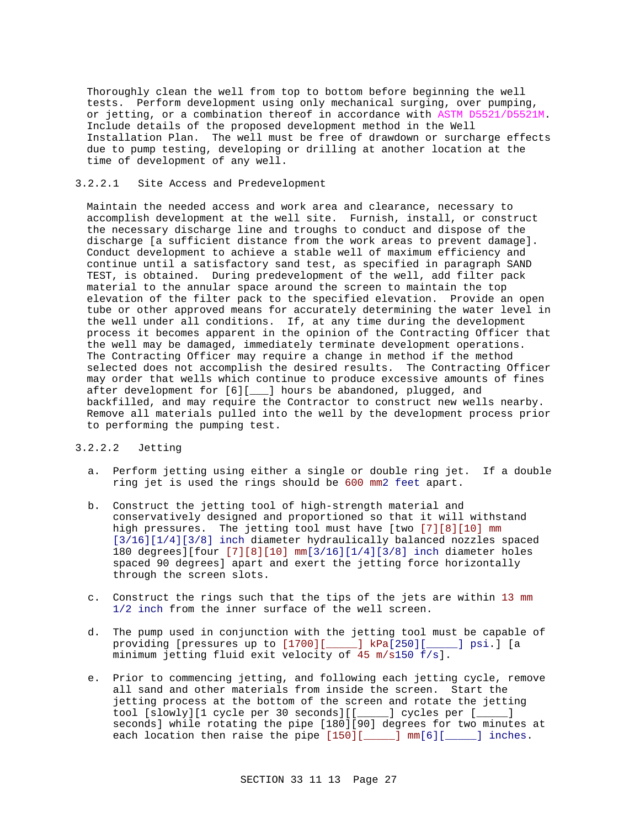Thoroughly clean the well from top to bottom before beginning the well tests. Perform development using only mechanical surging, over pumping, or jetting, or a combination thereof in accordance with ASTM D5521/D5521M. Include details of the proposed development method in the Well Installation Plan. The well must be free of drawdown or surcharge effects due to pump testing, developing or drilling at another location at the time of development of any well.

# 3.2.2.1 Site Access and Predevelopment

Maintain the needed access and work area and clearance, necessary to accomplish development at the well site. Furnish, install, or construct the necessary discharge line and troughs to conduct and dispose of the discharge [a sufficient distance from the work areas to prevent damage]. Conduct development to achieve a stable well of maximum efficiency and continue until a satisfactory sand test, as specified in paragraph SAND TEST, is obtained. During predevelopment of the well, add filter pack material to the annular space around the screen to maintain the top elevation of the filter pack to the specified elevation. Provide an open tube or other approved means for accurately determining the water level in the well under all conditions. If, at any time during the development process it becomes apparent in the opinion of the Contracting Officer that the well may be damaged, immediately terminate development operations. The Contracting Officer may require a change in method if the method selected does not accomplish the desired results. The Contracting Officer may order that wells which continue to produce excessive amounts of fines after development for [6][\_\_\_] hours be abandoned, plugged, and backfilled, and may require the Contractor to construct new wells nearby. Remove all materials pulled into the well by the development process prior to performing the pumping test.

# 3.2.2.2 Jetting

- a. Perform jetting using either a single or double ring jet. If a double ring jet is used the rings should be 600 mm2 feet apart.
- b. Construct the jetting tool of high-strength material and conservatively designed and proportioned so that it will withstand high pressures. The jetting tool must have [two [7][8][10] mm [3/16][1/4][3/8] inch diameter hydraulically balanced nozzles spaced 180 degrees][four [7][8][10] mm[3/16][1/4][3/8] inch diameter holes spaced 90 degrees] apart and exert the jetting force horizontally through the screen slots.
- c. Construct the rings such that the tips of the jets are within 13 mm 1/2 inch from the inner surface of the well screen.
- d. The pump used in conjunction with the jetting tool must be capable of providing [pressures up to [1700][\_\_\_\_\_] kPa[250][\_\_\_\_\_] psi.] [a minimum jetting fluid exit velocity of 45 m/s150 f/s].
- e. Prior to commencing jetting, and following each jetting cycle, remove all sand and other materials from inside the screen. Start the jetting process at the bottom of the screen and rotate the jetting tool [slowly][1 cycle per 30 seconds][[\_\_\_\_\_] cycles per [\_\_\_\_\_] seconds] while rotating the pipe [180][90] degrees for two minutes at each location then raise the pipe [150][\_\_\_\_\_] mm[6][\_\_\_\_\_] inches.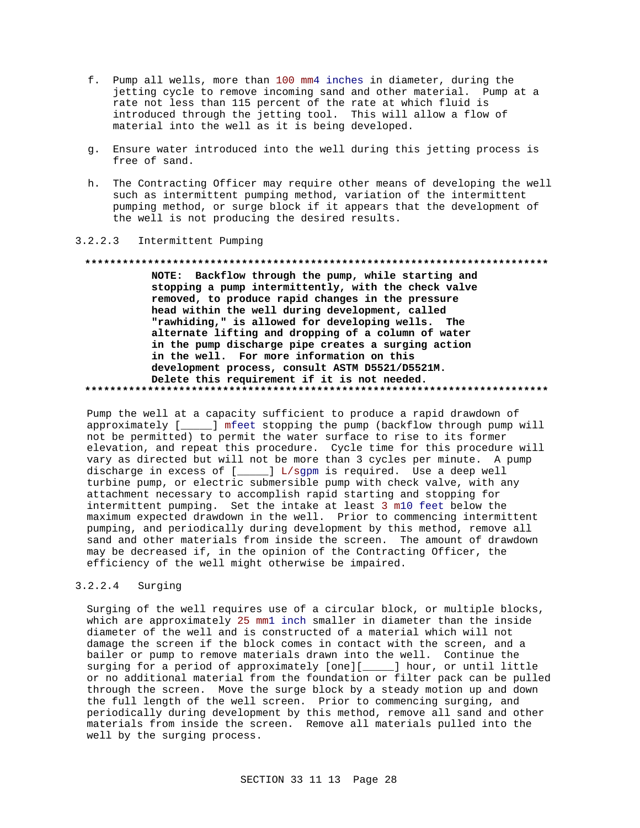- f. Pump all wells, more than 100 mm4 inches in diameter, during the jetting cycle to remove incoming sand and other material. Pump at a rate not less than 115 percent of the rate at which fluid is introduced through the jetting tool. This will allow a flow of material into the well as it is being developed.
- g. Ensure water introduced into the well during this jetting process is free of sand.
- h. The Contracting Officer may require other means of developing the well such as intermittent pumping method, variation of the intermittent pumping method, or surge block if it appears that the development of the well is not producing the desired results.

#### $3.2.2.3$ Intermittent Pumping

### 

NOTE: Backflow through the pump, while starting and stopping a pump intermittently, with the check valve removed, to produce rapid changes in the pressure head within the well during development, called "rawhiding," is allowed for developing wells. The alternate lifting and dropping of a column of water in the pump discharge pipe creates a surging action in the well. For more information on this development process, consult ASTM D5521/D5521M. Delete this requirement if it is not needed. 

Pump the well at a capacity sufficient to produce a rapid drawdown of approximately [\_\_\_\_\_] mfeet stopping the pump (backflow through pump will not be permitted) to permit the water surface to rise to its former elevation, and repeat this procedure. Cycle time for this procedure will vary as directed but will not be more than 3 cycles per minute. A pump discharge in excess of [\_\_\_\_\_] L/sgpm is required. Use a deep well turbine pump, or electric submersible pump with check valve, with any attachment necessary to accomplish rapid starting and stopping for intermittent pumping. Set the intake at least 3 m10 feet below the maximum expected drawdown in the well. Prior to commencing intermittent pumping, and periodically during development by this method, remove all sand and other materials from inside the screen. The amount of drawdown may be decreased if, in the opinion of the Contracting Officer, the efficiency of the well might otherwise be impaired.

#### $3.2.2.4$ Surging

Surging of the well requires use of a circular block, or multiple blocks, which are approximately 25 mml inch smaller in diameter than the inside diameter of the well and is constructed of a material which will not damage the screen if the block comes in contact with the screen, and a bailer or pump to remove materials drawn into the well. Continue the surging for a period of approximately [one][\_\_\_\_] hour, or until little or no additional material from the foundation or filter pack can be pulled through the screen. Move the surge block by a steady motion up and down the full length of the well screen. Prior to commencing surging, and periodically during development by this method, remove all sand and other materials from inside the screen. Remove all materials pulled into the well by the surging process.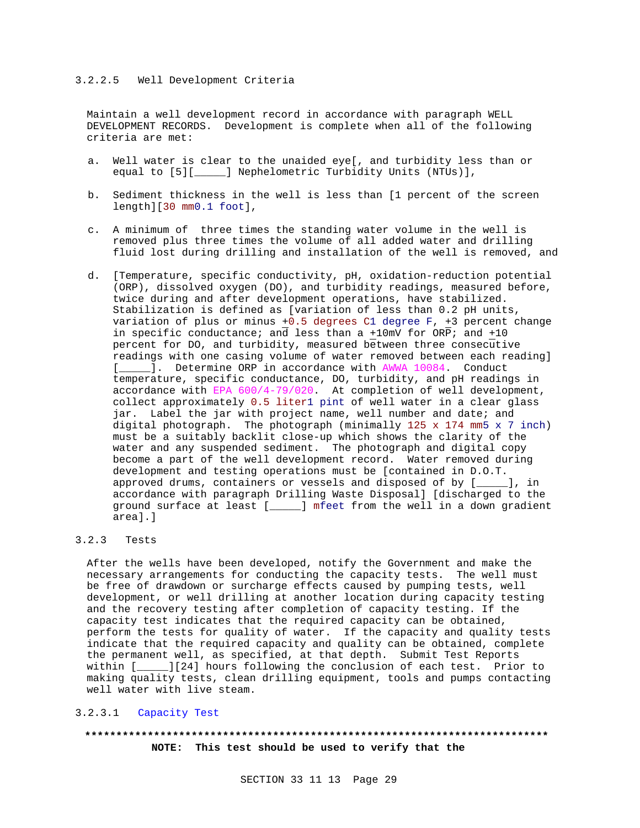Maintain a well development record in accordance with paragraph WELL DEVELOPMENT RECORDS. Development is complete when all of the following criteria are met:

- a. Well water is clear to the unaided eye[, and turbidity less than or equal to [5][\_\_\_\_\_] Nephelometric Turbidity Units (NTUs)],
- b. Sediment thickness in the well is less than [1 percent of the screen length][30 mm0.1 foot],
- c. A minimum of three times the standing water volume in the well is removed plus three times the volume of all added water and drilling fluid lost during drilling and installation of the well is removed, and
- d. [Temperature, specific conductivity, pH, oxidation-reduction potential (ORP), dissolved oxygen (DO), and turbidity readings, measured before, twice during and after development operations, have stabilized. Stabilization is defined as [variation of less than 0.2 pH units, variation of plus or minus +0.5 degrees C1 degree F, +3 percent change in specific conductance; and less than a +10mV for ORP; and +10 percent for DO, and turbidity, measured between three consecutive readings with one casing volume of water removed between each reading] [\_\_\_\_\_]. Determine ORP in accordance with AWWA 10084. Conduct temperature, specific conductance, DO, turbidity, and pH readings in accordance with EPA 600/4-79/020. At completion of well development, collect approximately 0.5 liter1 pint of well water in a clear glass jar. Label the jar with project name, well number and date; and digital photograph. The photograph (minimally 125 x 174 mm5 x 7 inch) must be a suitably backlit close-up which shows the clarity of the water and any suspended sediment. The photograph and digital copy become a part of the well development record. Water removed during development and testing operations must be [contained in D.O.T. approved drums, containers or vessels and disposed of by [\_\_\_\_\_], in accordance with paragraph Drilling Waste Disposal] [discharged to the ground surface at least [\_\_\_\_\_] mfeet from the well in a down gradient area].]

# 3.2.3 Tests

After the wells have been developed, notify the Government and make the necessary arrangements for conducting the capacity tests. The well must be free of drawdown or surcharge effects caused by pumping tests, well development, or well drilling at another location during capacity testing and the recovery testing after completion of capacity testing. If the capacity test indicates that the required capacity can be obtained, perform the tests for quality of water. If the capacity and quality tests indicate that the required capacity and quality can be obtained, complete the permanent well, as specified, at that depth. Submit Test Reports within [\_\_\_\_\_][24] hours following the conclusion of each test. Prior to making quality tests, clean drilling equipment, tools and pumps contacting well water with live steam.

# 3.2.3.1 Capacity Test

# **\*\*\*\*\*\*\*\*\*\*\*\*\*\*\*\*\*\*\*\*\*\*\*\*\*\*\*\*\*\*\*\*\*\*\*\*\*\*\*\*\*\*\*\*\*\*\*\*\*\*\*\*\*\*\*\*\*\*\*\*\*\*\*\*\*\*\*\*\*\*\*\*\*\* NOTE: This test should be used to verify that the**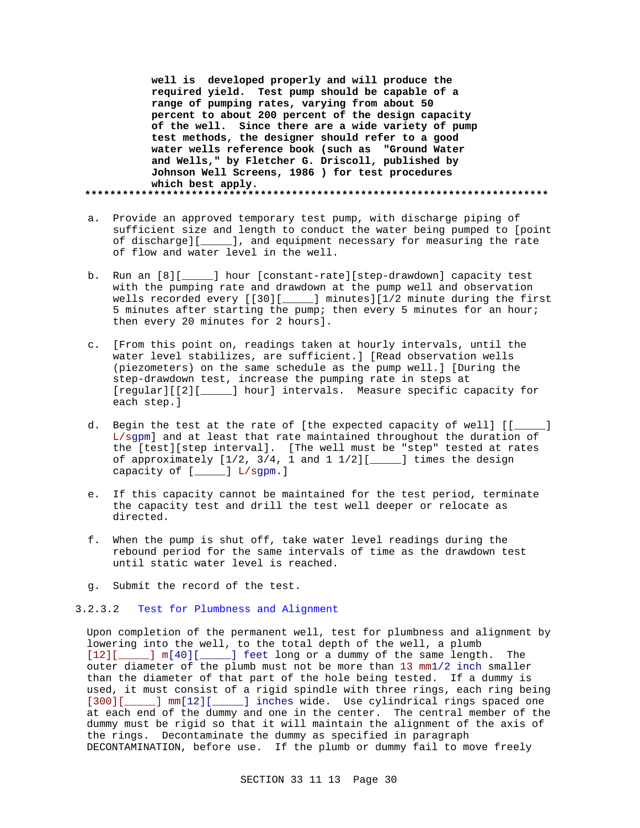**well is developed properly and will produce the required yield. Test pump should be capable of a range of pumping rates, varying from about 50 percent to about 200 percent of the design capacity of the well. Since there are a wide variety of pump test methods, the designer should refer to a good water wells reference book (such as "Ground Water and Wells," by Fletcher G. Driscoll, published by Johnson Well Screens, 1986 ) for test procedures which best apply. \*\*\*\*\*\*\*\*\*\*\*\*\*\*\*\*\*\*\*\*\*\*\*\*\*\*\*\*\*\*\*\*\*\*\*\*\*\*\*\*\*\*\*\*\*\*\*\*\*\*\*\*\*\*\*\*\*\*\*\*\*\*\*\*\*\*\*\*\*\*\*\*\*\***

- a. Provide an approved temporary test pump, with discharge piping of sufficient size and length to conduct the water being pumped to [point of discharge][\_\_\_\_\_], and equipment necessary for measuring the rate of flow and water level in the well.
- b. Run an [8][\_\_\_\_\_] hour [constant-rate][step-drawdown] capacity test with the pumping rate and drawdown at the pump well and observation wells recorded every [[30][\_\_\_\_\_] minutes][1/2 minute during the first 5 minutes after starting the pump; then every 5 minutes for an hour; then every 20 minutes for 2 hours].
- c. [From this point on, readings taken at hourly intervals, until the water level stabilizes, are sufficient.] [Read observation wells (piezometers) on the same schedule as the pump well.] [During the step-drawdown test, increase the pumping rate in steps at [regular][[2][\_\_\_\_\_] hour] intervals. Measure specific capacity for each step.]
- d. Begin the test at the rate of [the expected capacity of well] [[\_\_\_\_\_] L/sgpm] and at least that rate maintained throughout the duration of the [test][step interval]. [The well must be "step" tested at rates of approximately [1/2, 3/4, 1 and 1 1/2][\_\_\_\_\_] times the design capacity of [\_\_\_\_\_] L/sgpm.]
- e. If this capacity cannot be maintained for the test period, terminate the capacity test and drill the test well deeper or relocate as directed.
- f. When the pump is shut off, take water level readings during the rebound period for the same intervals of time as the drawdown test until static water level is reached.
- g. Submit the record of the test.

# 3.2.3.2 Test for Plumbness and Alignment

Upon completion of the permanent well, test for plumbness and alignment by lowering into the well, to the total depth of the well, a plumb [12][\_\_\_\_\_] m[40][\_\_\_\_\_] feet long or a dummy of the same length. The outer diameter of the plumb must not be more than 13 mm1/2 inch smaller than the diameter of that part of the hole being tested. If a dummy is used, it must consist of a rigid spindle with three rings, each ring being [300][\_\_\_\_\_] mm[12][\_\_\_\_\_] inches wide. Use cylindrical rings spaced one at each end of the dummy and one in the center. The central member of the dummy must be rigid so that it will maintain the alignment of the axis of the rings. Decontaminate the dummy as specified in paragraph DECONTAMINATION, before use. If the plumb or dummy fail to move freely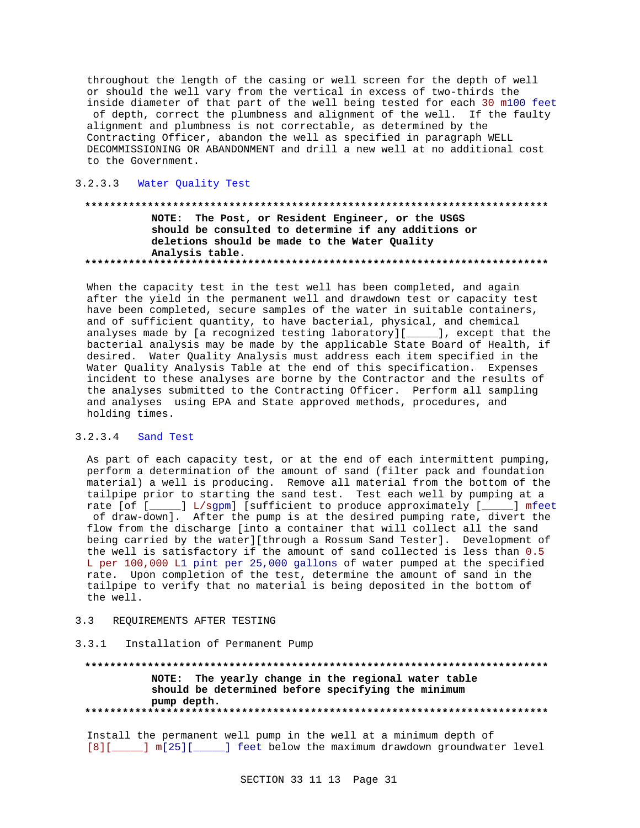throughout the length of the casing or well screen for the depth of well or should the well vary from the vertical in excess of two-thirds the inside diameter of that part of the well being tested for each 30 m100 feet of depth, correct the plumbness and alignment of the well. If the faulty alignment and plumbness is not correctable, as determined by the Contracting Officer, abandon the well as specified in paragraph WELL DECOMMISSIONING OR ABANDONMENT and drill a new well at no additional cost to the Government.

### 3.2.3.3 Water Quality Test

# NOTE: The Post, or Resident Engineer, or the USGS should be consulted to determine if any additions or deletions should be made to the Water Quality Analysis table.

When the capacity test in the test well has been completed, and again after the yield in the permanent well and drawdown test or capacity test have been completed, secure samples of the water in suitable containers, and of sufficient quantity, to have bacterial, physical, and chemical analyses made by [a recognized testing laboratory][\_\_\_\_\_], except that the bacterial analysis may be made by the applicable State Board of Health, if desired. Water Quality Analysis must address each item specified in the Water Quality Analysis Table at the end of this specification. Expenses incident to these analyses are borne by the Contractor and the results of the analyses submitted to the Contracting Officer. Perform all sampling and analyses using EPA and State approved methods, procedures, and holding times.

#### $3.2.3.4$ Sand Test

As part of each capacity test, or at the end of each intermittent pumping, perform a determination of the amount of sand (filter pack and foundation material) a well is producing. Remove all material from the bottom of the tailpipe prior to starting the sand test. Test each well by pumping at a rate [of [\_\_\_\_\_] L/sgpm] [sufficient to produce approximately [\_\_\_\_\_] mfeet of draw-down]. After the pump is at the desired pumping rate, divert the flow from the discharge [into a container that will collect all the sand being carried by the water][through a Rossum Sand Tester]. Development of the well is satisfactory if the amount of sand collected is less than 0.5 L per 100,000 L1 pint per 25,000 gallons of water pumped at the specified rate. Upon completion of the test, determine the amount of sand in the tailpipe to verify that no material is being deposited in the bottom of the well.

### REQUIREMENTS AFTER TESTING  $3.3$

#### Installation of Permanent Pump  $3.3.1$

NOTE: The yearly change in the regional water table should be determined before specifying the minimum pump depth. 

Install the permanent well pump in the well at a minimum depth of [8][\_\_\_\_\_] m[25][\_\_\_\_\_] feet below the maximum drawdown groundwater level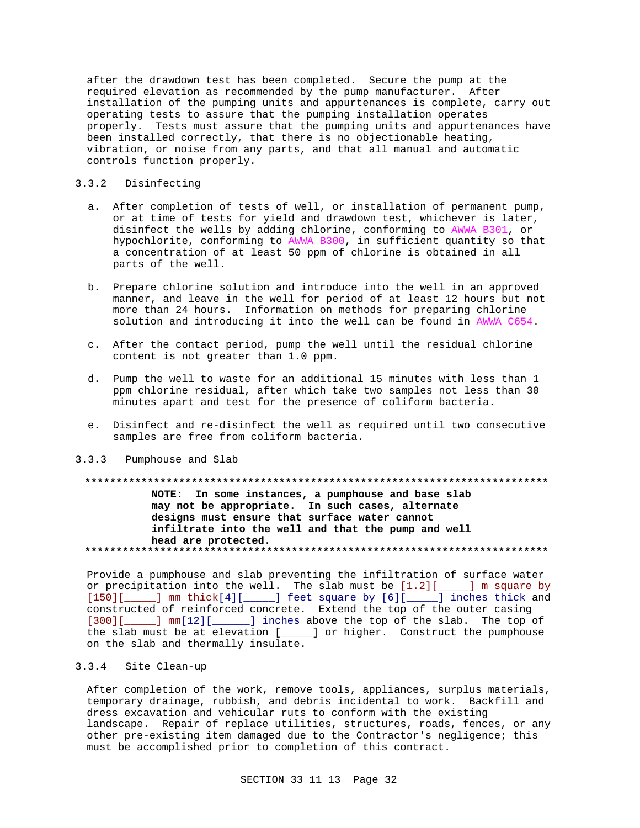after the drawdown test has been completed. Secure the pump at the required elevation as recommended by the pump manufacturer. After installation of the pumping units and appurtenances is complete, carry out operating tests to assure that the pumping installation operates properly. Tests must assure that the pumping units and appurtenances have been installed correctly, that there is no objectionable heating, vibration, or noise from any parts, and that all manual and automatic controls function properly.

# 3.3.2 Disinfecting

- a. After completion of tests of well, or installation of permanent pump, or at time of tests for yield and drawdown test, whichever is later, disinfect the wells by adding chlorine, conforming to AWWA B301, or hypochlorite, conforming to AWWA B300, in sufficient quantity so that a concentration of at least 50 ppm of chlorine is obtained in all parts of the well.
- b. Prepare chlorine solution and introduce into the well in an approved manner, and leave in the well for period of at least 12 hours but not more than 24 hours. Information on methods for preparing chlorine solution and introducing it into the well can be found in AWWA C654.
- c. After the contact period, pump the well until the residual chlorine content is not greater than 1.0 ppm.
- d. Pump the well to waste for an additional 15 minutes with less than 1 ppm chlorine residual, after which take two samples not less than 30 minutes apart and test for the presence of coliform bacteria.
- e. Disinfect and re-disinfect the well as required until two consecutive samples are free from coliform bacteria.
- 3.3.3 Pumphouse and Slab

## **\*\*\*\*\*\*\*\*\*\*\*\*\*\*\*\*\*\*\*\*\*\*\*\*\*\*\*\*\*\*\*\*\*\*\*\*\*\*\*\*\*\*\*\*\*\*\*\*\*\*\*\*\*\*\*\*\*\*\*\*\*\*\*\*\*\*\*\*\*\*\*\*\*\***

**NOTE: In some instances, a pumphouse and base slab may not be appropriate. In such cases, alternate designs must ensure that surface water cannot infiltrate into the well and that the pump and well head are protected. \*\*\*\*\*\*\*\*\*\*\*\*\*\*\*\*\*\*\*\*\*\*\*\*\*\*\*\*\*\*\*\*\*\*\*\*\*\*\*\*\*\*\*\*\*\*\*\*\*\*\*\*\*\*\*\*\*\*\*\*\*\*\*\*\*\*\*\*\*\*\*\*\*\***

Provide a pumphouse and slab preventing the infiltration of surface water or precipitation into the well. The slab must be  $[1.2][$  \_\_\_\_] m square by [150][\_\_\_\_\_] mm thick[4][\_\_\_\_\_] feet square by [6][\_\_\_\_\_] inches thick and constructed of reinforced concrete. Extend the top of the outer casing [300][\_\_\_\_\_] mm[12][\_\_\_\_\_\_] inches above the top of the slab. The top of the slab must be at elevation [\_\_\_\_\_] or higher. Construct the pumphouse on the slab and thermally insulate.

# 3.3.4 Site Clean-up

After completion of the work, remove tools, appliances, surplus materials, temporary drainage, rubbish, and debris incidental to work. Backfill and dress excavation and vehicular ruts to conform with the existing landscape. Repair of replace utilities, structures, roads, fences, or any other pre-existing item damaged due to the Contractor's negligence; this must be accomplished prior to completion of this contract.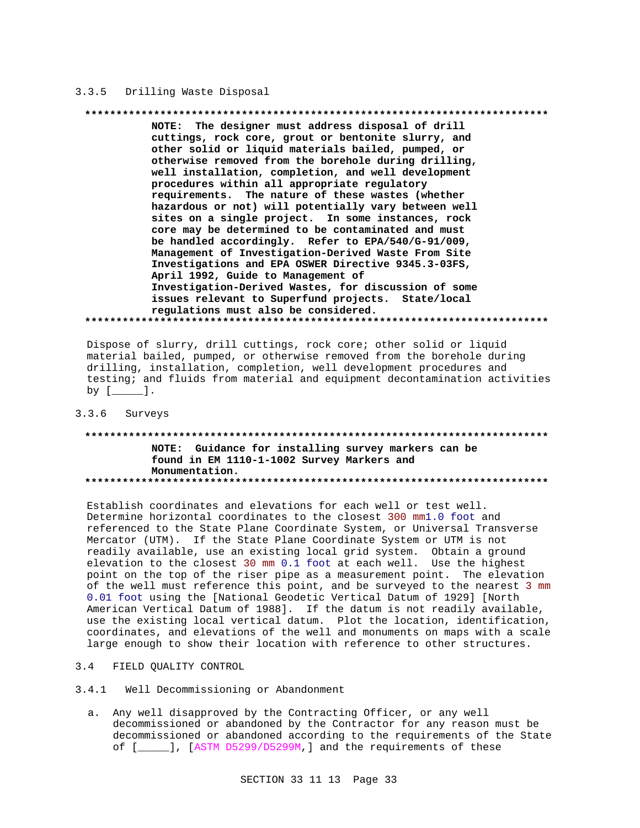# 3.3.5 Drilling Waste Disposal

### 

NOTE: The designer must address disposal of drill cuttings, rock core, grout or bentonite slurry, and other solid or liquid materials bailed, pumped, or otherwise removed from the borehole during drilling, well installation, completion, and well development procedures within all appropriate regulatory requirements. The nature of these wastes (whether hazardous or not) will potentially vary between well sites on a single project. In some instances, rock core may be determined to be contaminated and must be handled accordingly. Refer to EPA/540/G-91/009, Management of Investigation-Derived Waste From Site Investigations and EPA OSWER Directive 9345.3-03FS, April 1992, Guide to Management of Investigation-Derived Wastes, for discussion of some issues relevant to Superfund projects. State/local regulations must also be considered. 

Dispose of slurry, drill cuttings, rock core; other solid or liquid material bailed, pumped, or otherwise removed from the borehole during drilling, installation, completion, well development procedures and testing; and fluids from material and equipment decontamination activities by  $[\underline{\qquad}]$ .

#### $3.3.6$ Surveys

# NOTE: Guidance for installing survey markers can be found in EM 1110-1-1002 Survey Markers and Monumentation.

Establish coordinates and elevations for each well or test well. Determine horizontal coordinates to the closest 300 mm1.0 foot and referenced to the State Plane Coordinate System, or Universal Transverse Mercator (UTM). If the State Plane Coordinate System or UTM is not readily available, use an existing local grid system. Obtain a ground elevation to the closest 30 mm 0.1 foot at each well. Use the highest point on the top of the riser pipe as a measurement point. The elevation of the well must reference this point, and be surveyed to the nearest 3 mm 0.01 foot using the [National Geodetic Vertical Datum of 1929] [North American Vertical Datum of 1988]. If the datum is not readily available, use the existing local vertical datum. Plot the location, identification, coordinates, and elevations of the well and monuments on maps with a scale large enough to show their location with reference to other structures.

- $3.4$ FIELD QUALITY CONTROL
- Well Decommissioning or Abandonment  $3.4.1$ 
	- a. Any well disapproved by the Contracting Officer, or any well decommissioned or abandoned by the Contractor for any reason must be decommissioned or abandoned according to the requirements of the State of [\_\_\_\_], [ASTM D5299/D5299M,] and the requirements of these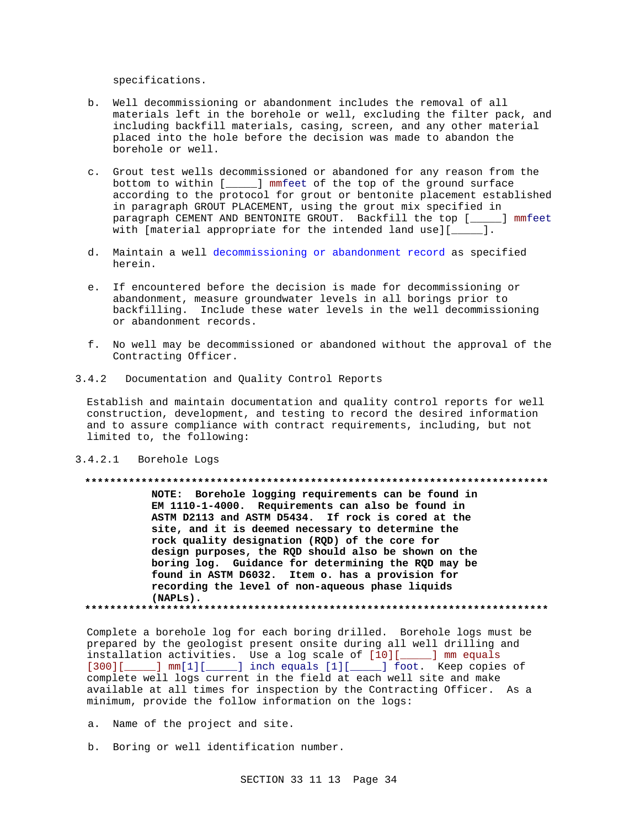specifications.

- b. Well decommissioning or abandonment includes the removal of all materials left in the borehole or well, excluding the filter pack, and including backfill materials, casing, screen, and any other material placed into the hole before the decision was made to abandon the borehole or well.
- c. Grout test wells decommissioned or abandoned for any reason from the bottom to within [\_\_\_\_\_] mmfeet of the top of the ground surface according to the protocol for grout or bentonite placement established in paragraph GROUT PLACEMENT, using the grout mix specified in paragraph CEMENT AND BENTONITE GROUT. Backfill the top [\_\_\_\_\_] mmfeet with [material appropriate for the intended land use][\_\_\_\_\_].
- d. Maintain a well decommissioning or abandonment record as specified herein.
- e. If encountered before the decision is made for decommissioning or abandonment, measure groundwater levels in all borings prior to backfilling. Include these water levels in the well decommissioning or abandonment records.
- f. No well may be decommissioned or abandoned without the approval of the Contracting Officer.
- 3.4.2 Documentation and Quality Control Reports

Establish and maintain documentation and quality control reports for well construction, development, and testing to record the desired information and to assure compliance with contract requirements, including, but not limited to, the following:

3.4.2.1 Borehole Logs

### **\*\*\*\*\*\*\*\*\*\*\*\*\*\*\*\*\*\*\*\*\*\*\*\*\*\*\*\*\*\*\*\*\*\*\*\*\*\*\*\*\*\*\*\*\*\*\*\*\*\*\*\*\*\*\*\*\*\*\*\*\*\*\*\*\*\*\*\*\*\*\*\*\*\***

**NOTE: Borehole logging requirements can be found in EM 1110-1-4000. Requirements can also be found in ASTM D2113 and ASTM D5434. If rock is cored at the site, and it is deemed necessary to determine the rock quality designation (RQD) of the core for design purposes, the RQD should also be shown on the boring log. Guidance for determining the RQD may be found in ASTM D6032. Item o. has a provision for recording the level of non-aqueous phase liquids (NAPLs). \*\*\*\*\*\*\*\*\*\*\*\*\*\*\*\*\*\*\*\*\*\*\*\*\*\*\*\*\*\*\*\*\*\*\*\*\*\*\*\*\*\*\*\*\*\*\*\*\*\*\*\*\*\*\*\*\*\*\*\*\*\*\*\*\*\*\*\*\*\*\*\*\*\***

Complete a borehole log for each boring drilled. Borehole logs must be prepared by the geologist present onsite during all well drilling and installation activities. Use a log scale of [10][\_\_\_\_\_] mm equals [300][\_\_\_\_\_] mm[1][\_\_\_\_\_] inch equals [1][\_\_\_\_\_] foot. Keep copies of complete well logs current in the field at each well site and make available at all times for inspection by the Contracting Officer. As a minimum, provide the follow information on the logs:

- a. Name of the project and site.
- b. Boring or well identification number.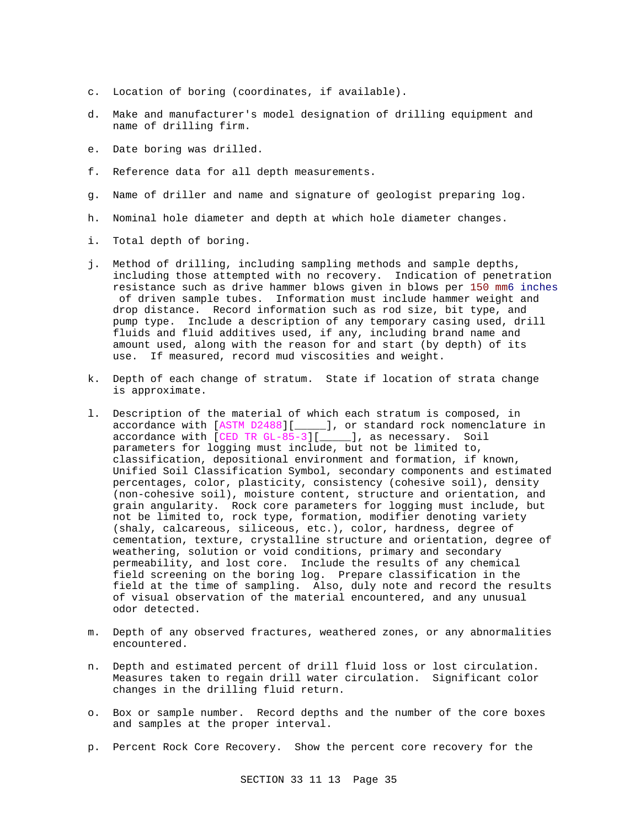- c. Location of boring (coordinates, if available).
- d. Make and manufacturer's model designation of drilling equipment and name of drilling firm.
- e. Date boring was drilled.
- f. Reference data for all depth measurements.
- g. Name of driller and name and signature of geologist preparing log.
- h. Nominal hole diameter and depth at which hole diameter changes.
- i. Total depth of boring.
- j. Method of drilling, including sampling methods and sample depths, including those attempted with no recovery. Indication of penetration resistance such as drive hammer blows given in blows per 150 mm6 inches of driven sample tubes. Information must include hammer weight and drop distance. Record information such as rod size, bit type, and pump type. Include a description of any temporary casing used, drill fluids and fluid additives used, if any, including brand name and amount used, along with the reason for and start (by depth) of its use. If measured, record mud viscosities and weight.
- k. Depth of each change of stratum. State if location of strata change is approximate.
- l. Description of the material of which each stratum is composed, in accordance with [ASTM D2488][\_\_\_\_\_], or standard rock nomenclature in accordance with [CED TR GL-85-3][\_\_\_\_\_], as necessary. Soil parameters for logging must include, but not be limited to, classification, depositional environment and formation, if known, Unified Soil Classification Symbol, secondary components and estimated percentages, color, plasticity, consistency (cohesive soil), density (non-cohesive soil), moisture content, structure and orientation, and grain angularity. Rock core parameters for logging must include, but not be limited to, rock type, formation, modifier denoting variety (shaly, calcareous, siliceous, etc.), color, hardness, degree of cementation, texture, crystalline structure and orientation, degree of weathering, solution or void conditions, primary and secondary permeability, and lost core. Include the results of any chemical field screening on the boring log. Prepare classification in the field at the time of sampling. Also, duly note and record the results of visual observation of the material encountered, and any unusual odor detected.
- m. Depth of any observed fractures, weathered zones, or any abnormalities encountered.
- n. Depth and estimated percent of drill fluid loss or lost circulation. Measures taken to regain drill water circulation. Significant color changes in the drilling fluid return.
- o. Box or sample number. Record depths and the number of the core boxes and samples at the proper interval.
- p. Percent Rock Core Recovery. Show the percent core recovery for the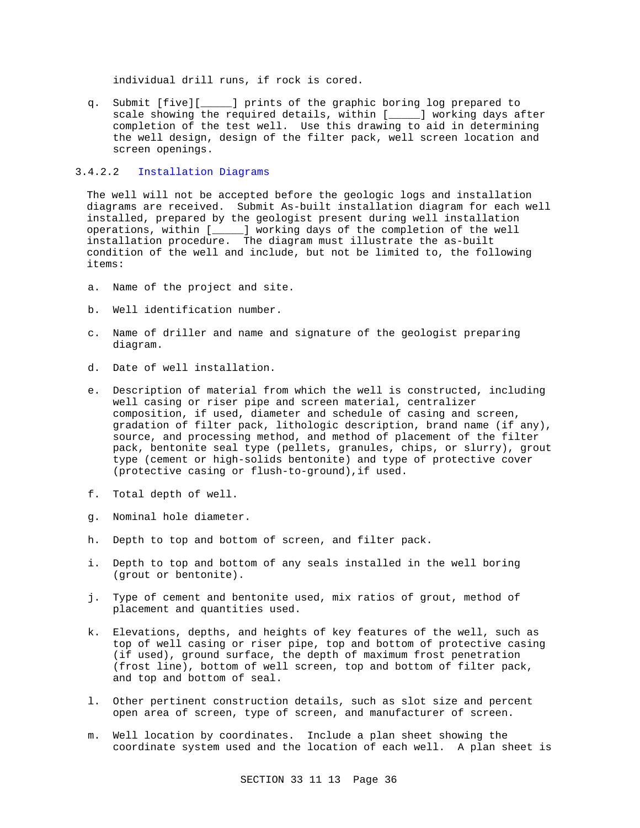individual drill runs, if rock is cored.

q. Submit [five][\_\_\_\_\_] prints of the graphic boring log prepared to scale showing the required details, within [\_\_\_\_\_] working days after completion of the test well. Use this drawing to aid in determining the well design, design of the filter pack, well screen location and screen openings.

# 3.4.2.2 Installation Diagrams

The well will not be accepted before the geologic logs and installation diagrams are received. Submit As-built installation diagram for each well installed, prepared by the geologist present during well installation operations, within [\_\_\_\_\_] working days of the completion of the well installation procedure. The diagram must illustrate the as-built condition of the well and include, but not be limited to, the following items:

- a. Name of the project and site.
- b. Well identification number.
- c. Name of driller and name and signature of the geologist preparing diagram.
- d. Date of well installation.
- e. Description of material from which the well is constructed, including well casing or riser pipe and screen material, centralizer composition, if used, diameter and schedule of casing and screen, gradation of filter pack, lithologic description, brand name (if any), source, and processing method, and method of placement of the filter pack, bentonite seal type (pellets, granules, chips, or slurry), grout type (cement or high-solids bentonite) and type of protective cover (protective casing or flush-to-ground),if used.
- f. Total depth of well.
- g. Nominal hole diameter.
- h. Depth to top and bottom of screen, and filter pack.
- i. Depth to top and bottom of any seals installed in the well boring (grout or bentonite).
- j. Type of cement and bentonite used, mix ratios of grout, method of placement and quantities used.
- k. Elevations, depths, and heights of key features of the well, such as top of well casing or riser pipe, top and bottom of protective casing (if used), ground surface, the depth of maximum frost penetration (frost line), bottom of well screen, top and bottom of filter pack, and top and bottom of seal.
- l. Other pertinent construction details, such as slot size and percent open area of screen, type of screen, and manufacturer of screen.
- m. Well location by coordinates. Include a plan sheet showing the coordinate system used and the location of each well. A plan sheet is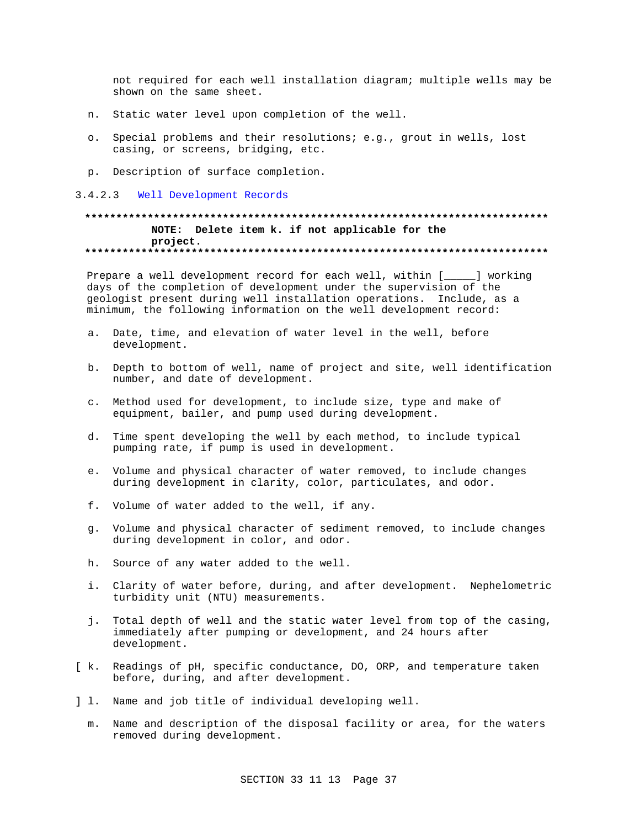not required for each well installation diagram; multiple wells may be shown on the same sheet.

- n. Static water level upon completion of the well.
- o. Special problems and their resolutions; e.g., grout in wells, lost casing, or screens, bridging, etc.
- p. Description of surface completion.
- 3.4.2.3 Well Development Records

# **\*\*\*\*\*\*\*\*\*\*\*\*\*\*\*\*\*\*\*\*\*\*\*\*\*\*\*\*\*\*\*\*\*\*\*\*\*\*\*\*\*\*\*\*\*\*\*\*\*\*\*\*\*\*\*\*\*\*\*\*\*\*\*\*\*\*\*\*\*\*\*\*\*\* NOTE: Delete item k. if not applicable for the project. \*\*\*\*\*\*\*\*\*\*\*\*\*\*\*\*\*\*\*\*\*\*\*\*\*\*\*\*\*\*\*\*\*\*\*\*\*\*\*\*\*\*\*\*\*\*\*\*\*\*\*\*\*\*\*\*\*\*\*\*\*\*\*\*\*\*\*\*\*\*\*\*\*\***

Prepare a well development record for each well, within [\_\_\_\_\_] working days of the completion of development under the supervision of the geologist present during well installation operations. Include, as a minimum, the following information on the well development record:

- a. Date, time, and elevation of water level in the well, before development.
- b. Depth to bottom of well, name of project and site, well identification number, and date of development.
- c. Method used for development, to include size, type and make of equipment, bailer, and pump used during development.
- d. Time spent developing the well by each method, to include typical pumping rate, if pump is used in development.
- e. Volume and physical character of water removed, to include changes during development in clarity, color, particulates, and odor.
- f. Volume of water added to the well, if any.
- g. Volume and physical character of sediment removed, to include changes during development in color, and odor.
- h. Source of any water added to the well.
- i. Clarity of water before, during, and after development. Nephelometric turbidity unit (NTU) measurements.
- j. Total depth of well and the static water level from top of the casing, immediately after pumping or development, and 24 hours after development.
- [ k. Readings of pH, specific conductance, DO, ORP, and temperature taken before, during, and after development.
- ] l. Name and job title of individual developing well.
	- m. Name and description of the disposal facility or area, for the waters removed during development.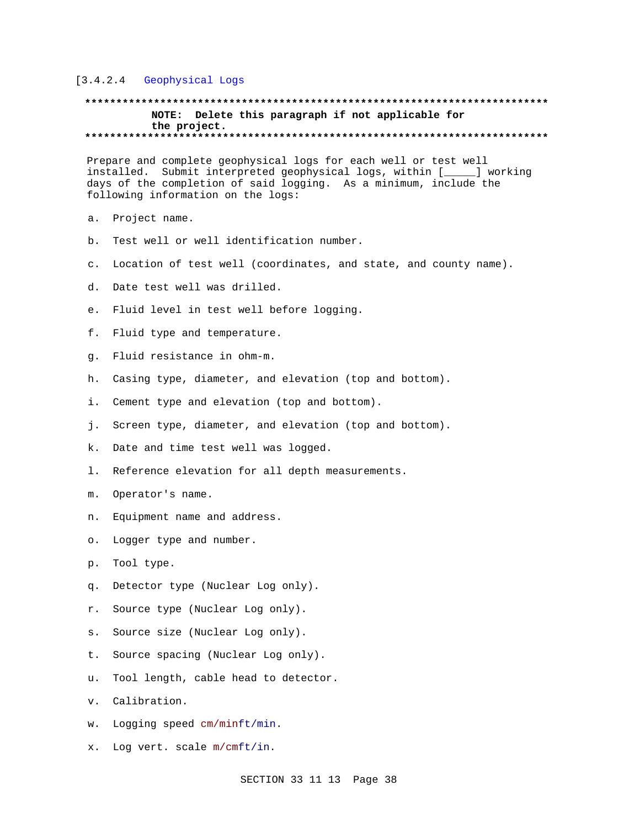# [3.4.2.4 Geophysical Logs

# **\*\*\*\*\*\*\*\*\*\*\*\*\*\*\*\*\*\*\*\*\*\*\*\*\*\*\*\*\*\*\*\*\*\*\*\*\*\*\*\*\*\*\*\*\*\*\*\*\*\*\*\*\*\*\*\*\*\*\*\*\*\*\*\*\*\*\*\*\*\*\*\*\*\* NOTE: Delete this paragraph if not applicable for the project. \*\*\*\*\*\*\*\*\*\*\*\*\*\*\*\*\*\*\*\*\*\*\*\*\*\*\*\*\*\*\*\*\*\*\*\*\*\*\*\*\*\*\*\*\*\*\*\*\*\*\*\*\*\*\*\*\*\*\*\*\*\*\*\*\*\*\*\*\*\*\*\*\*\***

Prepare and complete geophysical logs for each well or test well installed. Submit interpreted geophysical logs, within [\_\_\_\_\_] working days of the completion of said logging. As a minimum, include the following information on the logs:

- a. Project name.
- b. Test well or well identification number.
- c. Location of test well (coordinates, and state, and county name).
- d. Date test well was drilled.
- e. Fluid level in test well before logging.
- f. Fluid type and temperature.
- g. Fluid resistance in ohm-m.
- h. Casing type, diameter, and elevation (top and bottom).
- i. Cement type and elevation (top and bottom).
- j. Screen type, diameter, and elevation (top and bottom).
- k. Date and time test well was logged.
- l. Reference elevation for all depth measurements.
- m. Operator's name.
- n. Equipment name and address.
- o. Logger type and number.
- p. Tool type.
- q. Detector type (Nuclear Log only).
- r. Source type (Nuclear Log only).
- s. Source size (Nuclear Log only).
- t. Source spacing (Nuclear Log only).
- u. Tool length, cable head to detector.
- v. Calibration.
- w. Logging speed cm/minft/min.
- x. Log vert. scale m/cmft/in.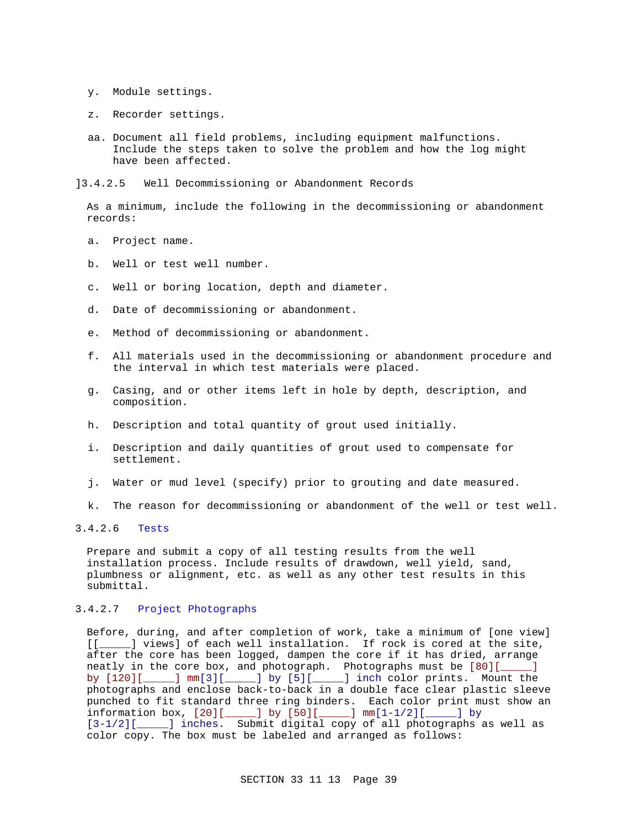- y. Module settings.
- z. Recorder settings.
- aa. Document all field problems, including equipment malfunctions. Include the steps taken to solve the problem and how the log might have been affected.

]3.4.2.5 Well Decommissioning or Abandonment Records

As a minimum, include the following in the decommissioning or abandonment records:

- a. Project name.
- b. Well or test well number.
- c. Well or boring location, depth and diameter.
- d. Date of decommissioning or abandonment.
- e. Method of decommissioning or abandonment.
- f. All materials used in the decommissioning or abandonment procedure and the interval in which test materials were placed.
- g. Casing, and or other items left in hole by depth, description, and composition.
- h. Description and total quantity of grout used initially.
- i. Description and daily quantities of grout used to compensate for settlement.
- j. Water or mud level (specify) prior to grouting and date measured.
- k. The reason for decommissioning or abandonment of the well or test well.

# 3.4.2.6 Tests

Prepare and submit a copy of all testing results from the well installation process. Include results of drawdown, well yield, sand, plumbness or alignment, etc. as well as any other test results in this submittal.

# 3.4.2.7 Project Photographs

Before, during, and after completion of work, take a minimum of [one view] [[\_\_\_\_\_] views] of each well installation. If rock is cored at the site, after the core has been logged, dampen the core if it has dried, arrange neatly in the core box, and photograph. Photographs must be [80][\_\_\_\_] by [120][\_\_\_\_] mm[3][\_\_\_\_] by [5][\_\_\_\_] inch color prints. Mount the photographs and enclose back-to-back in a double face clear plastic sleeve punched to fit standard three ring binders. Each color print must show an information box, [20][\_\_\_\_\_] by [50][\_\_\_\_\_] mm[1-1/2][\_\_\_\_\_] by [3-1/2][\_\_\_\_\_] inches. Submit digital copy of all photographs as well as color copy. The box must be labeled and arranged as follows: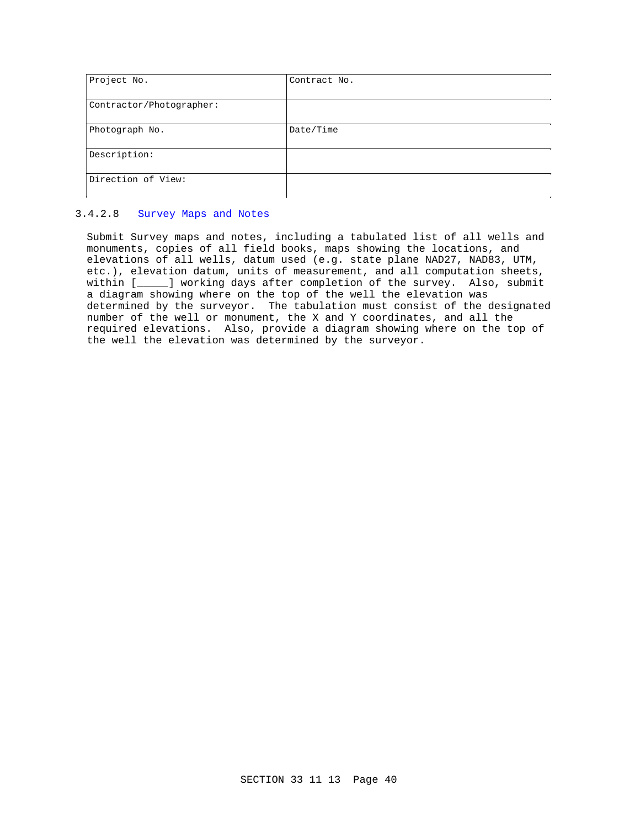| Project No.              | Contract No. |
|--------------------------|--------------|
|                          |              |
| Contractor/Photographer: |              |
|                          |              |
| Photograph No.           | Date/Time    |
|                          |              |
| Description:             |              |
|                          |              |
| Direction of View:       |              |
|                          |              |

# 3.4.2.8 Survey Maps and Notes

Submit Survey maps and notes, including a tabulated list of all wells and monuments, copies of all field books, maps showing the locations, and elevations of all wells, datum used (e.g. state plane NAD27, NAD83, UTM, etc.), elevation datum, units of measurement, and all computation sheets, within [\_\_\_\_\_] working days after completion of the survey. Also, submit a diagram showing where on the top of the well the elevation was determined by the surveyor. The tabulation must consist of the designated number of the well or monument, the X and Y coordinates, and all the required elevations. Also, provide a diagram showing where on the top of the well the elevation was determined by the surveyor.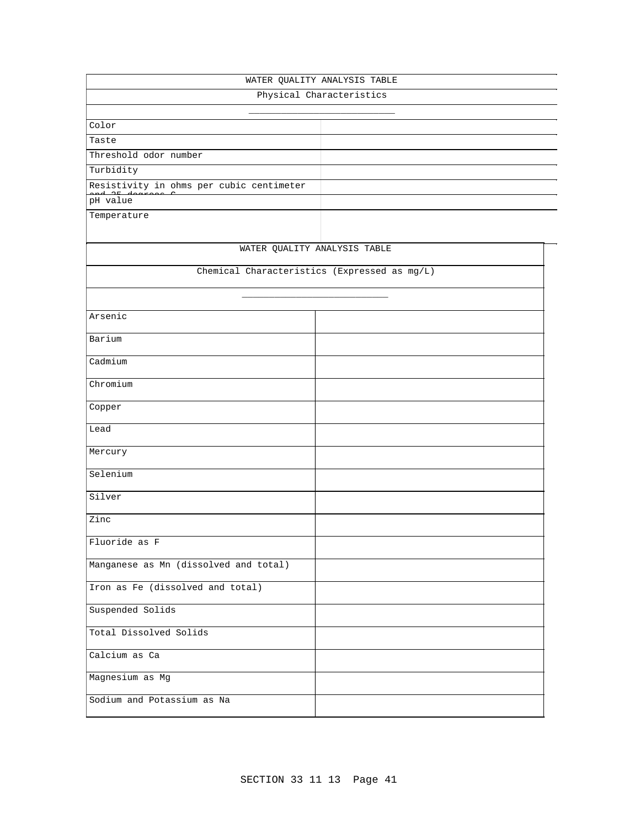| WATER QUALITY ANALYSIS TABLE                 |                              |  |  |  |  |
|----------------------------------------------|------------------------------|--|--|--|--|
| Physical Characteristics                     |                              |  |  |  |  |
|                                              |                              |  |  |  |  |
| Color                                        |                              |  |  |  |  |
| Taste                                        |                              |  |  |  |  |
| Threshold odor number                        |                              |  |  |  |  |
| Turbidity                                    |                              |  |  |  |  |
| Resistivity in ohms per cubic centimeter     |                              |  |  |  |  |
| pH value                                     |                              |  |  |  |  |
| Temperature                                  |                              |  |  |  |  |
|                                              | WATER QUALITY ANALYSIS TABLE |  |  |  |  |
| Chemical Characteristics (Expressed as mg/L) |                              |  |  |  |  |
|                                              |                              |  |  |  |  |
| Arsenic                                      |                              |  |  |  |  |
| Barium                                       |                              |  |  |  |  |
| Cadmium                                      |                              |  |  |  |  |
| Chromium                                     |                              |  |  |  |  |
| Copper                                       |                              |  |  |  |  |
| Lead                                         |                              |  |  |  |  |
| Mercury                                      |                              |  |  |  |  |
| Selenium                                     |                              |  |  |  |  |
| Silver                                       |                              |  |  |  |  |
| Zinc                                         |                              |  |  |  |  |
| Fluoride as F                                |                              |  |  |  |  |
| Manganese as Mn (dissolved and total)        |                              |  |  |  |  |
| Iron as Fe (dissolved and total)             |                              |  |  |  |  |
| Suspended Solids                             |                              |  |  |  |  |
| Total Dissolved Solids                       |                              |  |  |  |  |
| Calcium as Ca                                |                              |  |  |  |  |
| Magnesium as Mg                              |                              |  |  |  |  |
| Sodium and Potassium as Na                   |                              |  |  |  |  |